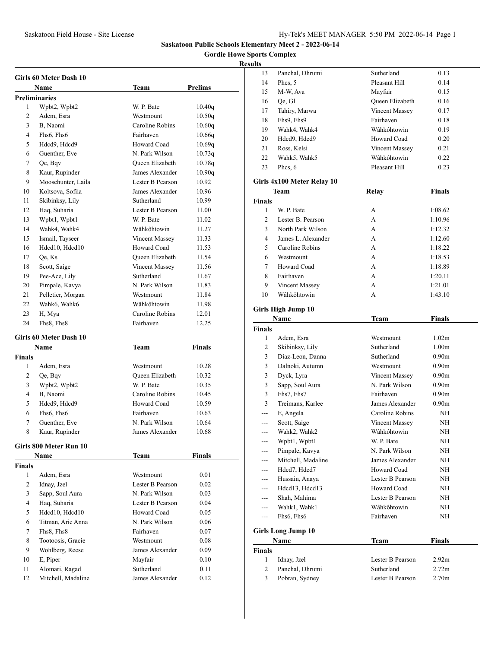**Gordie Howe Sports Complex**

| Girls 60 Meter Dash 10 |                        |                  |               |  |
|------------------------|------------------------|------------------|---------------|--|
|                        | Name                   | Team             | Prelims       |  |
|                        | <b>Preliminaries</b>   |                  |               |  |
| 1                      | Wpbt2, Wpbt2           | W. P. Bate       | 10.40q        |  |
| 2                      | Adem. Esra             | Westmount        | 10.50q        |  |
| 3                      | B, Naomi               | Caroline Robins  | 10.60q        |  |
| 4                      | Fhs6, Fhs6             | Fairhaven        | 10.66q        |  |
| 5                      | Hdcd9, Hdcd9           | Howard Coad      | 10.69q        |  |
| 6                      | Guenther, Eve          | N. Park Wilson   | 10.73q        |  |
| 7                      | Qe, Bqv                | Queen Elizabeth  | 10.78q        |  |
| 8                      | Kaur, Rupinder         | James Alexander  | 10.90q        |  |
| 9                      | Moosehunter, Laila     | Lester B Pearson | 10.92         |  |
| 10                     | Koltsova, Sofiia       | James Alexander  | 10.96         |  |
| 11                     | Skibinksy, Lily        | Sutherland       | 10.99         |  |
| 12                     | Haq, Suharia           | Lester B Pearson | 11.00         |  |
| 13                     | Wpbt1, Wpbt1           | W. P. Bate       | 11.02         |  |
| 14                     | Wahk4, Wahk4           | Wâhkôhtowin      | 11.27         |  |
| 15                     | Ismail, Tayseer        | Vincent Massey   | 11.33         |  |
| 16                     | Hdcd10, Hdcd10         | Howard Coad      | 11.53         |  |
| 17                     | Qe, Ks                 | Oueen Elizabeth  | 11.54         |  |
| 18                     | Scott, Saige           | Vincent Massey   | 11.56         |  |
| 19                     | Pee-Ace, Lily          | Sutherland       | 11.67         |  |
| 20                     | Pimpale, Kavya         | N. Park Wilson   | 11.83         |  |
| 21                     | Pelletier, Morgan      | Westmount        | 11.84         |  |
| 22                     | Wahk6, Wahk6           | Wâhkôhtowin      | 11.98         |  |
| 23                     | H, Mya                 | Caroline Robins  | 12.01         |  |
| 24                     | Fhs8, Fhs8             | Fairhaven        | 12.25         |  |
|                        | Girls 60 Meter Dash 10 |                  |               |  |
|                        | Name                   | Team             | <b>Finals</b> |  |
| <b>Finals</b>          |                        |                  |               |  |
| 1                      | Adem, Esra             | Westmount        | 10.28         |  |
| 2                      | Qe, Bqv                | Queen Elizabeth  | 10.32         |  |
| 3                      | Wpbt2, Wpbt2           | W. P. Bate       | 10.35         |  |
| 4                      | B, Naomi               | Caroline Robins  | 10.45         |  |
| 5                      | Hdcd9, Hdcd9           | Howard Coad      | 10.59         |  |
| 6                      | Fhs6, Fhs6             | Fairhaven        | 10.63         |  |
| 7                      | Guenther, Eve          | N. Park Wilson   | 10.64         |  |
| 8                      | Kaur, Rupinder         | James Alexander  | 10.68         |  |
|                        |                        |                  |               |  |
|                        | Girls 800 Meter Run 10 |                  |               |  |
|                        | Name                   | Team             | Finals        |  |
| <b>Finals</b>          |                        |                  |               |  |
| 1                      | Adem, Esra             | Westmount        | 0.01          |  |
| $\overline{2}$         | Idnay, Jzel            | Lester B Pearson | 0.02          |  |
| 3                      | Sapp, Soul Aura        | N. Park Wilson   | 0.03          |  |
| 4                      | Haq, Suharia           | Lester B Pearson | 0.04          |  |
| 5                      | Hdcd10, Hdcd10         | Howard Coad      | 0.05          |  |
| 6                      | Titman, Arie Anna      | N. Park Wilson   | 0.06          |  |
| 7                      | Fhs8, Fhs8             | Fairhaven        | 0.07          |  |
| 8                      | Tootoosis, Gracie      | Westmount        | 0.08          |  |
| 9                      | Wohlberg, Reese        | James Alexander  | 0.09          |  |
| 10                     | E, Piper               | Mayfair          | 0.10          |  |
| 11                     | Alomari, Ragad         | Sutherland       | 0.11          |  |
| 12                     | Mitchell, Madaline     | James Alexander  | 0.12          |  |

| ults               |                                   |                                |                            |
|--------------------|-----------------------------------|--------------------------------|----------------------------|
| 13                 | Panchal, Dhrumi                   | Sutherland                     | 0.13                       |
| 14                 | Phcs, 5                           | Pleasant Hill                  | 0.14                       |
| 15                 | M-W. Ava                          | Mayfair                        | 0.15                       |
| 16                 | Qe, Gl                            | Queen Elizabeth                | 0.16                       |
| 17                 | Tahiry, Marwa                     | Vincent Massey                 | 0.17                       |
| 18                 | Fhs9, Fhs9                        | Fairhaven                      | 0.18                       |
| 19                 | Wahk4, Wahk4                      | Wâhkôhtowin                    | 0.19                       |
| 20                 | Hdcd9, Hdcd9                      | Howard Coad                    | 0.20                       |
| 21                 | Ross, Kelsi                       | <b>Vincent Massey</b>          | 0.21                       |
| 22                 | Wahk5, Wahk5                      | Wâhkôhtowin                    | 0.22                       |
| 23                 | Phcs, 6                           | Pleasant Hill                  | 0.23                       |
|                    | Girls 4x100 Meter Relay 10        |                                |                            |
|                    | Team                              | <b>Relay</b>                   | <b>Finals</b>              |
|                    |                                   |                                |                            |
| <b>Finals</b><br>1 | W. P. Bate                        | A                              | 1:08.62                    |
| 2                  | Lester B. Pearson                 | A                              | 1:10.96                    |
| 3                  | North Park Wilson                 | A                              | 1:12.32                    |
| 4                  | James L. Alexander                | A                              | 1:12.60                    |
| 5                  | Caroline Robins                   | A                              | 1:18.22                    |
| 6                  | Westmount                         | A                              | 1:18.53                    |
| 7                  | Howard Coad                       | A                              | 1:18.89                    |
| 8                  | Fairhaven                         | A                              | 1:20.11                    |
| 9                  | <b>Vincent Massey</b>             | A                              | 1:21.01                    |
| 10                 | Wâhkôhtowin                       | A                              | 1:43.10                    |
|                    |                                   |                                |                            |
|                    | Girls High Jump 10                |                                |                            |
|                    | Name                              | Team                           | <b>Finals</b>              |
| <b>Finals</b>      |                                   |                                |                            |
|                    |                                   |                                |                            |
| 1                  | Adem, Esra                        | Westmount                      | 1.02 <sub>m</sub>          |
| 2                  | Skibinksy, Lily                   | Sutherland                     | 1.00 <sub>m</sub>          |
| 3                  | Diaz-Leon, Danna                  | Sutherland                     | 0.90 <sub>m</sub>          |
| 3                  | Dalnoki, Autumn                   | Westmount                      | 0.90 <sub>m</sub>          |
| 3                  | Dyck, Lyra                        | Vincent Massey                 | 0.90 <sub>m</sub>          |
| 3                  | Sapp, Soul Aura                   | N. Park Wilson                 | 0.90 <sub>m</sub>          |
| 3                  | Fhs7, Fhs7                        | Fairhaven                      | 0.90 <sub>m</sub>          |
| 3                  | Treimans, Karlee                  | James Alexander                | 0.90 <sub>m</sub>          |
| $-$                | E, Angela                         | Caroline Robins                | NH                         |
| ---                | Scott, Saige                      | Vincent Massey                 | NH                         |
| ---                | Wahk2, Wahk2                      | Wâhkôhtowin                    | NΗ                         |
| ---                | Wpbt1, Wpbt1                      | W. P. Bate                     | NΗ                         |
|                    | Pimpale, Kavya                    | N. Park Wilson                 | ΝH                         |
|                    | Mitchell, Madaline                | James Alexander                | NΗ                         |
| ---                | Hdcd7, Hdcd7                      | Howard Coad                    | NΗ                         |
| ---                | Hussain, Anaya                    | Lester B Pearson               | NΗ                         |
| ---                | Hdcd13, Hdcd13                    | Howard Coad                    | NH                         |
| $---$              | Shah, Mahima                      | Lester B Pearson               | NΗ                         |
| ---                | Wahk1, Wahk1                      | Wâhkôhtowin                    | NH                         |
| ---                | Fhs6, Fhs6                        | Fairhaven                      | NH                         |
|                    |                                   |                                |                            |
|                    | <b>Girls Long Jump 10</b>         |                                |                            |
|                    | Name                              | Team                           | <b>Finals</b>              |
| Finals             |                                   |                                |                            |
| 1                  | Idnay, Jzel                       | Lester B Pearson               | 2.92 <sub>m</sub>          |
| 2<br>3             | Panchal, Dhrumi<br>Pobran, Sydney | Sutherland<br>Lester B Pearson | 2.72m<br>2.70 <sub>m</sub> |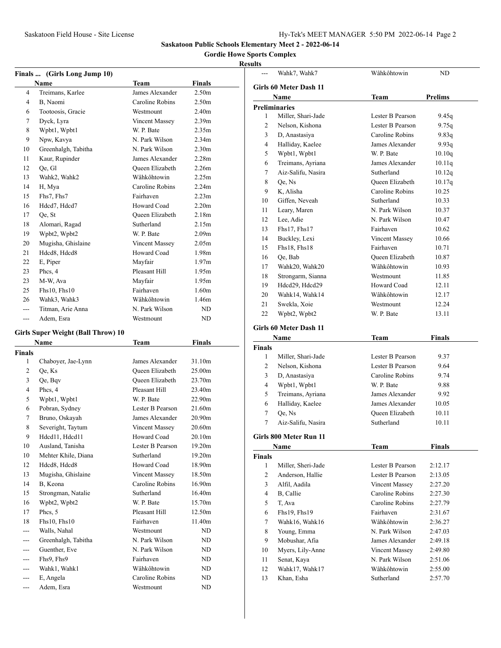--- Wahk7, Wahk7 Wâhkôhtowin ND

#### **Saskatoon Public Schools Elementary Meet 2 - 2022-06-14**

#### **Gordie Howe Sports Complex**

#### **Results**

**Girls 60 Meter Dash 11**

|                | Finals  (Girls Long Jump 10)              |                        |                    |  |
|----------------|-------------------------------------------|------------------------|--------------------|--|
|                | <b>Name</b>                               | Team                   | <b>Finals</b>      |  |
| 4              | Treimans, Karlee                          | James Alexander        | 2.50 <sub>m</sub>  |  |
| 4              | B, Naomi                                  | Caroline Robins        | 2.50 <sub>m</sub>  |  |
| 6              | Tootoosis, Gracie                         | Westmount              | 2.40 <sub>m</sub>  |  |
| 7              | Dyck, Lyra                                | Vincent Massey         | 2.39 <sub>m</sub>  |  |
| 8              | Wpbt1, Wpbt1                              | W. P. Bate             | 2.35m              |  |
| 9              | Npw, Kavya                                | N. Park Wilson         | 2.34 <sub>m</sub>  |  |
| 10             | Greenhalgh, Tabitha                       | N. Park Wilson         | 2.30 <sub>m</sub>  |  |
| 11             | Kaur, Rupinder                            | James Alexander        | 2.28 <sub>m</sub>  |  |
| 12             | Qe, Gl                                    | Oueen Elizabeth        | 2.26m              |  |
| 13             | Wahk2, Wahk2                              | Wâhkôhtowin            | 2.25m              |  |
| 14             | H, Mya                                    | Caroline Robins        | 2.24m              |  |
| 15             | Fhs7, Fhs7                                | Fairhaven              | 2.23 <sub>m</sub>  |  |
| 16             | Hdcd7, Hdcd7                              | Howard Coad            | 2.20 <sub>m</sub>  |  |
| 17             | Oe, St                                    | Oueen Elizabeth        | 2.18 <sub>m</sub>  |  |
| 18             | Alomari, Ragad                            | Sutherland             | 2.15m              |  |
| 19             | Wpbt2, Wpbt2                              | W. P. Bate             | 2.09 <sub>m</sub>  |  |
| 20             | Mugisha, Ghislaine                        | Vincent Massey         | 2.05 <sub>m</sub>  |  |
| 21             | Hdcd8, Hdcd8                              | Howard Coad            | 1.98m              |  |
| 22             | E, Piper                                  | Mayfair                | 1.97m              |  |
| 23             | Phcs, 4                                   | Pleasant Hill          | 1.95m              |  |
| 23             | M-W, Ava                                  | Mayfair                | 1.95m              |  |
| 25             | Fhs10, Fhs10                              | Fairhaven              | 1.60m              |  |
| 26             | Wahk3, Wahk3                              | Wâhkôhtowin            | 1.46m              |  |
| $\sim$         | Titman, Arie Anna                         | N. Park Wilson         | ND                 |  |
| ---            | Adem, Esra                                | Westmount              | ND                 |  |
|                | <b>Girls Super Weight (Ball Throw) 10</b> |                        |                    |  |
|                | <b>Name</b>                               | Team                   | <b>Finals</b>      |  |
| <b>Finals</b>  |                                           |                        |                    |  |
| 1              | Chaboyer, Jae-Lynn                        | James Alexander        | 31.10m             |  |
| $\overline{c}$ | Qe, Ks                                    | Queen Elizabeth        | 25.00m             |  |
| 3              | Qe, Bqv                                   | <b>Oueen Elizabeth</b> | 23.70m             |  |
| 4              | Phcs, 4                                   | Pleasant Hill          | 23.40m             |  |
| 5              | Wpbt1, Wpbt1                              | W. P. Bate             | 22.90 <sub>m</sub> |  |
| 6              | Pobran, Sydney                            | Lester B Pearson       | 21.60m             |  |
| 7              | Bruno, Oskayah                            | James Alexander        | 20.90m             |  |
| 8              | Severight, Taytum                         | Vincent Massey         | 20.60m             |  |
| 9              | Hdcd11, Hdcd11                            | Howard Coad            | 20.10 <sub>m</sub> |  |
| 10             | Ausland, Tanisha                          | Lester B Pearson       | 19.20m             |  |

 Mehter Khile, Diana Sutherland 19.20m 12 Hdcd8, Hdcd8 Howard Coad 18.90m Mugisha, Ghislaine Vincent Massey 18.50m B, Keona Caroline Robins 16.90m Strongman, Natalie Sutherland 16.40m Wpbt2, Wpbt2 W. P. Bate 15.70m 17 Phcs, 5 Pleasant Hill 12.50m 18 Fhs10, Fhs10 Fairhaven 11.40m --- Walls, Nahal Westmount ND --- Greenhalgh, Tabitha N. Park Wilson ND --- Guenther, Eve N. Park Wilson ND --- Fhs9, Fhs9 Fairhaven ND --- Wahk1, Wahk1 Wâhkôhtowin ND --- E, Angela Caroline Robins ND --- Adem, Esra Westmount ND

|                | Name                   | <b>Team</b>      | <b>Prelims</b> |  |  |  |
|----------------|------------------------|------------------|----------------|--|--|--|
|                | <b>Preliminaries</b>   |                  |                |  |  |  |
| 1              | Miller, Shari-Jade     | Lester B Pearson | 9.45q          |  |  |  |
| 2              | Nelson, Kishona        | Lester B Pearson | 9.75q          |  |  |  |
| 3              | D, Anastasiya          | Caroline Robins  | 9.83q          |  |  |  |
| 4              | Halliday, Kaelee       | James Alexander  | 9.93q          |  |  |  |
| 5              | Wpbt1, Wpbt1           | W. P. Bate       | 10.10q         |  |  |  |
| 6              | Treimans, Ayriana      | James Alexander  | 10.11q         |  |  |  |
| 7              | Aiz-Salifu, Nasira     | Sutherland       | 10.12q         |  |  |  |
| 8              | Qe, Ns                 | Queen Elizabeth  | 10.17q         |  |  |  |
| 9              | K, Alisha              | Caroline Robins  | 10.25          |  |  |  |
| 10             | Giffen, Neveah         | Sutherland       | 10.33          |  |  |  |
| 11             | Leary, Maren           | N. Park Wilson   | 10.37          |  |  |  |
| 12             | Lee, Adie              | N. Park Wilson   | 10.47          |  |  |  |
| 13             | Fhs17, Fhs17           | Fairhaven        | 10.62          |  |  |  |
| 14             | Buckley, Lexi          | Vincent Massey   | 10.66          |  |  |  |
| 15             | Fhs18, Fhs18           | Fairhaven        | 10.71          |  |  |  |
| 16             | Qe, Bab                | Queen Elizabeth  | 10.87          |  |  |  |
| 17             | Wahk20, Wahk20         | Wâhkôhtowin      | 10.93          |  |  |  |
| 18             | Strongarm, Sianna      | Westmount        | 11.85          |  |  |  |
| 19             | Hdcd29, Hdcd29         | Howard Coad      | 12.11          |  |  |  |
| 20             | Wahk14, Wahk14         | Wâhkôhtowin      | 12.17          |  |  |  |
| 21             | Swekla, Xoie           | Westmount        | 12.24          |  |  |  |
| 22             | Wpbt2, Wpbt2           | W. P. Bate       | 13.11          |  |  |  |
|                |                        |                  |                |  |  |  |
|                | Girls 60 Meter Dash 11 |                  |                |  |  |  |
|                | Name                   | Team             | <b>Finals</b>  |  |  |  |
| <b>Finals</b>  |                        |                  |                |  |  |  |
| 1              | Miller, Shari-Jade     | Lester B Pearson | 9.37           |  |  |  |
| 2              | Nelson, Kishona        | Lester B Pearson | 9.64           |  |  |  |
| 3              | D, Anastasiya          | Caroline Robins  | 9.74           |  |  |  |
| 4              | Wpbt1, Wpbt1           | W. P. Bate       | 9.88           |  |  |  |
| 5              | Treimans, Ayriana      | James Alexander  | 9.92           |  |  |  |
| 6              | Halliday, Kaelee       | James Alexander  | 10.05          |  |  |  |
| 7              | Qe, Ns                 | Queen Elizabeth  | 10.11          |  |  |  |
| 7              | Aiz-Salifu, Nasira     | Sutherland       | 10.11          |  |  |  |
|                | Girls 800 Meter Run 11 |                  |                |  |  |  |
|                | Name                   | Team             | Finals         |  |  |  |
| Finals         |                        |                  |                |  |  |  |
| $\mathbf{1}$   | Miller, Sheri-Jade     | Lester B Pearson | 2:12.17        |  |  |  |
| $\overline{c}$ | Anderson, Hallie       | Lester B Pearson | 2:13.05        |  |  |  |
| 3              | Alfil, Aadila          | Vincent Massey   | 2:27.20        |  |  |  |
| $\overline{4}$ | B, Callie              | Caroline Robins  | 2:27.30        |  |  |  |
| 5              | T, Ava                 | Caroline Robins  | 2:27.79        |  |  |  |
| 6              | Fhs19, Fhs19           | Fairhaven        | 2:31.67        |  |  |  |
| 7              | Wahk16, Wahk16         | Wâhkôhtowin      | 2:36.27        |  |  |  |
| 8              | Young, Emma            | N. Park Wilson   | 2:47.03        |  |  |  |
| 9              | Mobushar, Afia         | James Alexander  | 2:49.18        |  |  |  |
| 10             | Myers, Lily-Anne       | Vincent Massey   | 2:49.80        |  |  |  |
| 11             | Senat, Kaya            | N. Park Wilson   | 2:51.06        |  |  |  |
| 12             | Wahk17, Wahk17         | Wâhkôhtowin      | 2:55.00        |  |  |  |
|                |                        |                  |                |  |  |  |

13 Khan, Esha Sutherland 2:57.70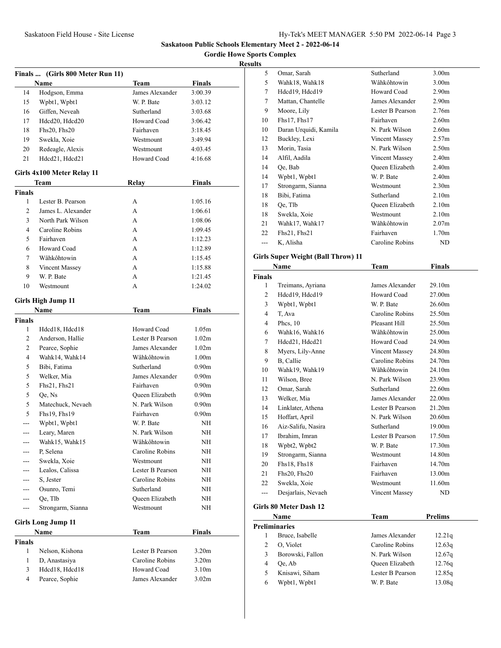**Gordie Howe Sports Complex**

### **Results**

|                | Finals  (Girls 800 Meter Run 11)   |                  |                   |  |
|----------------|------------------------------------|------------------|-------------------|--|
|                | Name                               | Team             | <b>Finals</b>     |  |
| 14             | Hodgson, Emma                      | James Alexander  | 3:00.39           |  |
| 15             | Wpbt1, Wpbt1                       | W. P. Bate       | 3:03.12           |  |
| 16             | Giffen, Neveah                     | Sutherland       | 3:03.68           |  |
| 17             | Hdcd20, Hdcd20                     | Howard Coad      | 3:06.42           |  |
| 18             | Fhs20, Fhs20                       | Fairhaven        | 3:18.45           |  |
| 19             | Swekla, Xoie                       | Westmount        | 3:49.94           |  |
| 20             | Redeagle, Alexis                   | Westmount        | 4:03.45           |  |
| 21             | Hdcd21, Hdcd21                     | Howard Coad      | 4:16.68           |  |
|                |                                    |                  |                   |  |
|                | Girls 4x100 Meter Relay 11<br>Team | <b>Relay</b>     | <b>Finals</b>     |  |
| <b>Finals</b>  |                                    |                  |                   |  |
| 1              | Lester B. Pearson                  | А                | 1:05.16           |  |
| 2              | James L. Alexander                 | А                | 1:06.61           |  |
| 3              | North Park Wilson                  | А                | 1:08.06           |  |
| 4              | Caroline Robins                    | A                | 1:09.45           |  |
| 5              | Fairhaven                          | А                | 1:12.23           |  |
| 6              | Howard Coad                        | А                | 1:12.89           |  |
| 7              | Wâhkôhtowin                        | A                | 1:15.45           |  |
| 8              |                                    | A                | 1:15.88           |  |
| 9              | Vincent Massey<br>W. P. Bate       | А                | 1:21.45           |  |
| 10             | Westmount                          | А                | 1:24.02           |  |
|                |                                    |                  |                   |  |
|                | Girls High Jump 11                 |                  |                   |  |
|                | <b>Name</b>                        | <b>Team</b>      | Finals            |  |
| <b>Finals</b>  |                                    |                  |                   |  |
| 1              | Hdcd18, Hdcd18                     | Howard Coad      | 1.05m             |  |
| 2              | Anderson, Hallie                   | Lester B Pearson | 1.02 <sub>m</sub> |  |
| 2              | Pearce, Sophie                     | James Alexander  | 1.02 <sub>m</sub> |  |
| 4              | Wahk14, Wahk14                     | Wâhkôhtowin      | 1.00 <sub>m</sub> |  |
| 5              | Bibi, Fatima                       | Sutherland       | 0.90 <sub>m</sub> |  |
| 5              | Welker, Mia                        | James Alexander  | 0.90 <sub>m</sub> |  |
| 5              | Fhs21, Fhs21                       | Fairhaven        | 0.90 <sub>m</sub> |  |
| 5              | Qe, Ns                             | Queen Elizabeth  | 0.90 <sub>m</sub> |  |
| 5              | Matechuck, Nevaeh                  | N. Park Wilson   | 0.90 <sub>m</sub> |  |
| 5              | Fhs19, Fhs19                       | Fairhaven        | 0.90 <sub>m</sub> |  |
| ---            | Wpbt1, Wpbt1                       | W. P. Bate       | ΝH                |  |
| ---            | Leary, Maren                       | N. Park Wilson   | NH                |  |
| ---            | Wahk15, Wahk15                     | Wâhkôhtowin      | NΗ                |  |
|                | P, Selena                          | Caroline Robins  | NΗ                |  |
| ---            | Swekla, Xoie                       | Westmount        | NΗ                |  |
|                | Lealos, Calissa                    | Lester B Pearson | NΗ                |  |
| ---            | S. Jester                          | Caroline Robins  | NH                |  |
| ---            | Osunro, Temi                       | Sutherland       | NH                |  |
|                | Qe, Tlb                            | Queen Elizabeth  | NΗ                |  |
| ---            | Strongarm, Sianna                  | Westmount        | ΝH                |  |
|                |                                    |                  |                   |  |
|                | <b>Girls Long Jump 11</b>          |                  |                   |  |
|                | <b>Name</b>                        | Team             | Finals            |  |
| Finals         |                                    |                  |                   |  |
| $\mathbf{1}$   | Nelson, Kishona                    | Lester B Pearson | 3.20 <sub>m</sub> |  |
| $\mathbf{1}$   | D, Anastasiya                      | Caroline Robins  | 3.20 <sub>m</sub> |  |
| 3              | Hdcd18, Hdcd18                     | Howard Coad      | 3.10m             |  |
| $\overline{4}$ | Pearce, Sophie                     | James Alexander  | 3.02 <sub>m</sub> |  |
|                |                                    |                  |                   |  |

| 5                      | Omar, Sarah                               | Sutherland            | 3.00 <sub>m</sub>  |  |  |
|------------------------|-------------------------------------------|-----------------------|--------------------|--|--|
| 5                      | Wahk18, Wahk18                            | Wâhkôhtowin           | 3.00 <sub>m</sub>  |  |  |
| 7                      | Hdcd19, Hdcd19                            | Howard Coad           | 2.90 <sub>m</sub>  |  |  |
| 7                      | Mattan, Chantelle                         | James Alexander       | 2.90 <sub>m</sub>  |  |  |
| 9                      | Moore, Lily                               | Lester B Pearson      | 2.76m              |  |  |
| 10                     | Fhs17, Fhs17                              | Fairhaven             | 2.60 <sub>m</sub>  |  |  |
| 10                     | Daran Urquidi, Kamila                     | N. Park Wilson        | 2.60 <sub>m</sub>  |  |  |
| 12                     | Buckley, Lexi                             | Vincent Massey        | 2.57m              |  |  |
| 13                     | Morin, Tasia                              | N. Park Wilson        | 2.50 <sub>m</sub>  |  |  |
| 14                     | Alfil, Aadila                             | <b>Vincent Massey</b> | 2.40 <sub>m</sub>  |  |  |
| 14                     | Oe, Bab                                   | Queen Elizabeth       | 2.40 <sub>m</sub>  |  |  |
| 14                     | Wpbt1, Wpbt1                              | W. P. Bate            | 2.40 <sub>m</sub>  |  |  |
| 17                     | Strongarm, Sianna                         | Westmount             | 2.30 <sub>m</sub>  |  |  |
| 18                     | Bibi, Fatima                              | Sutherland            | 2.10 <sub>m</sub>  |  |  |
| 18                     | Qe, Tlb                                   | Queen Elizabeth       | 2.10 <sub>m</sub>  |  |  |
| 18                     | Swekla, Xoie                              | Westmount             | 2.10 <sub>m</sub>  |  |  |
| 21                     | Wahk17, Wahk17                            | Wâhkôhtowin           | 2.07 <sub>m</sub>  |  |  |
| 22                     | Fhs21, Fhs21                              | Fairhaven             | 1.70 <sub>m</sub>  |  |  |
| ---                    | K, Alisha                                 | Caroline Robins       | ND                 |  |  |
|                        |                                           |                       |                    |  |  |
|                        | <b>Girls Super Weight (Ball Throw) 11</b> |                       |                    |  |  |
|                        | Name                                      | <b>Team</b>           | <b>Finals</b>      |  |  |
| <b>Finals</b>          |                                           |                       |                    |  |  |
| 1                      | Treimans, Ayriana                         | James Alexander       | 29.10 <sub>m</sub> |  |  |
| 2                      | Hdcd19, Hdcd19                            | Howard Coad           | 27.00m             |  |  |
| 3                      | Wpbt1, Wpbt1                              | W. P. Bate            | 26.60m             |  |  |
| 4                      | T, Ava                                    | Caroline Robins       | 25.50m             |  |  |
| 4                      | Phcs, 10                                  | Pleasant Hill         | 25.50m             |  |  |
| 6                      | Wahk16, Wahk16                            | Wâhkôhtowin           | 25.00m             |  |  |
| 7                      | Hdcd21, Hdcd21                            | Howard Coad           | 24.90m             |  |  |
| 8                      | Myers, Lily-Anne                          | Vincent Massey        | 24.80m             |  |  |
| 9                      | B, Callie                                 | Caroline Robins       | 24.70m             |  |  |
| 10                     | Wahk19, Wahk19                            | Wâhkôhtowin           | 24.10m             |  |  |
| 11                     | Wilson, Bree                              | N. Park Wilson        | 23.90m             |  |  |
| 12                     | Omar, Sarah                               | Sutherland            | 22.60m             |  |  |
| 13                     | Welker, Mia                               | James Alexander       | 22.00m             |  |  |
| 14                     | Linklater, Athena                         | Lester B Pearson      | 21.20m             |  |  |
| 15                     | Hoffart, April                            | N. Park Wilson        | 20.60m             |  |  |
| 16                     | Aiz-Salifu, Nasira                        | Sutherland            | 19.00m             |  |  |
| 17                     | Ibrahim, Imran                            | Lester B Pearson      | 17.50m             |  |  |
| 18                     | Wpbt2, Wpbt2                              | W. P. Bate            | 17.30m             |  |  |
| 19                     | Strongarm, Sianna                         | Westmount             | 14.80m             |  |  |
| 20                     | Fhs18, Fhs18                              | Fairhaven             | 14.70m             |  |  |
| 21                     | Fhs20, Fhs20                              | Fairhaven             | 13.00m             |  |  |
| 22                     | Swekla, Xoie                              | Westmount             | 11.60m             |  |  |
| $\overline{a}$         | Desjarlais, Nevaeh                        | Vincent Massey        | ND                 |  |  |
|                        |                                           |                       |                    |  |  |
| Girls 80 Meter Dash 12 |                                           |                       |                    |  |  |
|                        | Name                                      | Team                  | <b>Prelims</b>     |  |  |
|                        | <b>Preliminaries</b>                      |                       |                    |  |  |
| 1                      | Bruce, Isabelle                           | James Alexander       | 12.21q             |  |  |
| $\mathbf{2}$           | O, Violet                                 | Caroline Robins       | 12.63q             |  |  |
| 3                      | Borowski, Fallon                          | N. Park Wilson        | 12.67q             |  |  |

 Qe, Ab Queen Elizabeth 12.76q Knisawi, Siham Lester B Pearson 12.85q 6 Wpbt1, Wpbt1 W. P. Bate 13.08q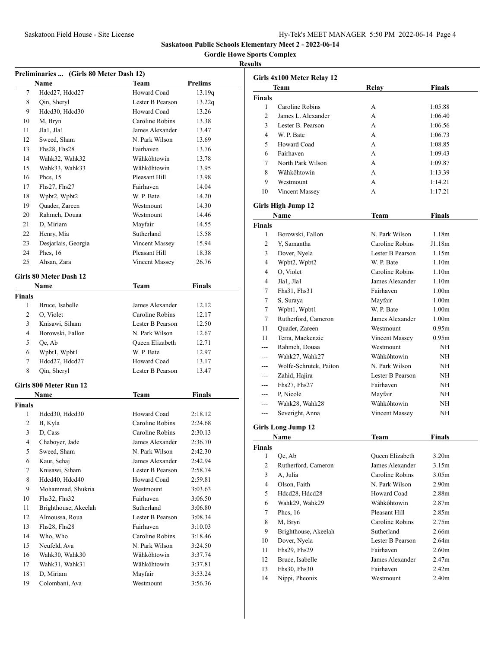**Gordie Howe Sports Complex**

|                | Preliminaries  (Girls 80 Meter Dash 12)<br>Name | Team                  | <b>Prelims</b> |
|----------------|-------------------------------------------------|-----------------------|----------------|
| 7              | Hdcd27, Hdcd27                                  | Howard Coad           | 13.19q         |
| 8              | Qin, Sheryl                                     | Lester B Pearson      | 13.22q         |
| 9              | Hdcd30, Hdcd30                                  | Howard Coad           | 13.26          |
| 10             | M, Bryn                                         | Caroline Robins       | 13.38          |
|                |                                                 | James Alexander       | 13.47          |
| 11             | Jla1, Jla1                                      |                       |                |
| 12             | Sweed, Sham                                     | N. Park Wilson        | 13.69          |
| 13             | Fhs28, Fhs28                                    | Fairhaven             | 13.76          |
| 14             | Wahk32, Wahk32                                  | Wâhkôhtowin           | 13.78          |
| 15             | Wahk33, Wahk33                                  | Wâhkôhtowin           | 13.95          |
| 16             | Phcs, $15$                                      | Pleasant Hill         | 13.98          |
| 17             | $Fhs27$ , $Fhs27$                               | Fairhaven             | 14.04          |
| 18             | Wpbt2, Wpbt2                                    | W. P. Bate            | 14.20          |
| 19             | Quader, Zareen                                  | Westmount             | 14.30          |
| 20             | Rahmeh, Douaa                                   | Westmount             | 14.46          |
| 21             | D, Miriam                                       | Mayfair               | 14.55          |
| 22             | Henry, Mia                                      | Sutherland            | 15.58          |
| 23             | Desjarlais, Georgia                             | Vincent Massey        | 15.94          |
| 24             | Phcs. 16                                        | Pleasant Hill         | 18.38          |
| 25             | Ahsan, Zara                                     | <b>Vincent Massey</b> | 26.76          |
|                | Girls 80 Meter Dash 12                          |                       |                |
|                |                                                 |                       |                |
|                | Name                                            | Team                  | Finals         |
| Finals<br>1    |                                                 | James Alexander       | 12.12          |
|                | Bruce, Isabelle                                 |                       |                |
| 2              | O, Violet                                       | Caroline Robins       | 12.17          |
| 3              | Knisawi, Siham                                  | Lester B Pearson      | 12.50          |
| $\overline{4}$ | Borowski, Fallon                                | N. Park Wilson        | 12.67          |
| 5              | Qe, Ab                                          | Queen Elizabeth       | 12.71          |
| 6              | Wpbt1, Wpbt1                                    | W. P. Bate            | 12.97          |
| 7              | Hdcd27, Hdcd27                                  | Howard Coad           | 13.17          |
| 8              | Qin, Sheryl                                     | Lester B Pearson      | 13.47          |
|                | Girls 800 Meter Run 12                          |                       |                |
|                | Name                                            | Team                  | <b>Finals</b>  |
| <b>Finals</b>  |                                                 |                       |                |
| 1              | Hdcd30, Hdcd30                                  | Howard Coad           | 2:18.12        |
| 2              | B, Kyla                                         | Caroline Robins       | 2:24.68        |
| 3              | D, Cass                                         | Caroline Robins       | 2:30.13        |
| 4              | Chaboyer, Jade                                  | James Alexander       | 2:36.70        |
| 5              | Sweed, Sham                                     | N. Park Wilson        | 2:42.30        |
| 6              | Kaur, Sehaj                                     | James Alexander       | 2:42.94        |
| $\tau$         | Knisawi, Siham                                  | Lester B Pearson      | 2:58.74        |
| 8              | Hdcd40, Hdcd40                                  | Howard Coad           | 2:59.81        |
| 9              | Mohammad, Shukria                               | Westmount             | 3:03.63        |
| 10             | Fhs32, Fhs32                                    | Fairhaven             | 3:06.50        |
| 11             | Brighthouse, Akeelah                            | Sutherland            | 3:06.80        |
| 12             | Almoussa, Roua                                  | Lester B Pearson      | 3:08.34        |
| 13             | Fhs28, Fhs28                                    | Fairhaven             |                |
|                |                                                 |                       | 3:10.03        |
| 14             | Who, Who                                        | Caroline Robins       | 3:18.46        |
| 15             | Neufeld, Ava                                    | N. Park Wilson        | 3:24.50        |
| 16             | Wahk30, Wahk30                                  | Wâhkôhtowin           | 3:37.74        |
| 17             | Wahk31, Wahk31                                  | Wâhkôhtowin           | 3:37.81        |
| 18             | D, Miriam                                       | Mayfair               | 3:53.24        |
| 19             | Colombani, Ava                                  | Westmount             | 3:56.36        |

| Girls 4x100 Meter Relay 12 |                           |                  |                   |
|----------------------------|---------------------------|------------------|-------------------|
|                            | Team                      | Relay            | <b>Finals</b>     |
| <b>Finals</b>              |                           |                  |                   |
| 1                          | Caroline Robins           | А                | 1:05.88           |
| $\overline{c}$             | James L. Alexander        | A                | 1:06.40           |
| 3                          | Lester B. Pearson         | A                | 1:06.56           |
| 4                          | W. P. Bate                | A                | 1:06.73           |
| 5                          | Howard Coad               | А                | 1:08.85           |
| 6                          | Fairhaven                 | А                | 1:09.43           |
| 7                          | North Park Wilson         | А                | 1:09.87           |
| 8                          | Wâhkôhtowin               | A                | 1:13.39           |
| 9                          | Westmount                 | A                | 1:14.21           |
| 10                         | Vincent Massey            | А                | 1:17.21           |
|                            | Girls High Jump 12        |                  |                   |
|                            | Name                      | Team             | <b>Finals</b>     |
| <b>Finals</b>              |                           |                  |                   |
| 1                          | Borowski, Fallon          | N. Park Wilson   | 1.18 <sub>m</sub> |
| 2                          | Y, Samantha               | Caroline Robins  | J1.18m            |
| 3                          | Dover, Nyela              | Lester B Pearson | 1.15m             |
| 4                          | Wpbt2, Wpbt2              | W. P. Bate       | 1.10 <sub>m</sub> |
| 4                          | O, Violet                 | Caroline Robins  | 1.10 <sub>m</sub> |
| 4                          | Jla1, Jla1                | James Alexander  | 1.10 <sub>m</sub> |
| 7                          | Fhs31, Fhs31              | Fairhaven        | 1.00 <sub>m</sub> |
| 7                          | S, Suraya                 | Mayfair          | 1.00 <sub>m</sub> |
| 7                          | Wpbt1, Wpbt1              | W. P. Bate       | 1.00 <sub>m</sub> |
| 7                          | Rutherford, Cameron       | James Alexander  | 1.00 <sub>m</sub> |
| 11                         | Quader, Zareen            | Westmount        | 0.95m             |
| 11                         | Terra, Mackenzie          | Vincent Massey   | 0.95m             |
| $- - -$                    | Rahmeh, Douaa             | Westmount        | NH                |
| ---                        | Wahk27, Wahk27            | Wâhkôhtowin      | NH                |
|                            | Wolfe-Schrutek, Paiton    | N. Park Wilson   | NH                |
| $---$                      | Zahid, Hajira             | Lester B Pearson | NH                |
| ---                        | $Fhs27$ , $Fhs27$         | Fairhaven        | NH                |
|                            | P, Nicole                 | Mayfair          | NH                |
| ---                        | Wahk28, Wahk28            | Wâhkôhtowin      | NH                |
| ---                        | Severight, Anna           | Vincent Massey   | NH                |
|                            | <b>Girls Long Jump 12</b> |                  |                   |
|                            | Name                      | Team             | <b>Finals</b>     |
| Finals                     |                           |                  |                   |
| 1                          | Qe, Ab                    | Queen Elizabeth  | 3.20m             |
| 2                          | Rutherford, Cameron       | James Alexander  | 3.15m             |
| 3                          | A, Julia                  | Caroline Robins  | 3.05 <sub>m</sub> |
| 4                          | Olson, Faith              | N. Park Wilson   | 2.90 <sub>m</sub> |
| 5                          | Hdcd28, Hdcd28            | Howard Coad      | 2.88 <sub>m</sub> |
| 6                          | Wahk29, Wahk29            | Wâhkôhtowin      | 2.87 <sub>m</sub> |
| 7                          | Phcs, $16$                | Pleasant Hill    | 2.85m             |
| 8                          | M, Bryn                   | Caroline Robins  | 2.75m             |
| 9                          | Brighthouse, Akeelah      | Sutherland       | 2.66m             |
| 10                         | Dover, Nyela              | Lester B Pearson | 2.64m             |
| 11                         | Fhs29, Fhs29              | Fairhaven        | 2.60 <sub>m</sub> |
| 12                         | Bruce, Isabelle           | James Alexander  | 2.47m             |
| 13                         | Fhs30, Fhs30              | Fairhaven        | 2.42 <sub>m</sub> |
| 14                         | Nippi, Pheonix            | Westmount        | 2.40 <sub>m</sub> |
|                            |                           |                  |                   |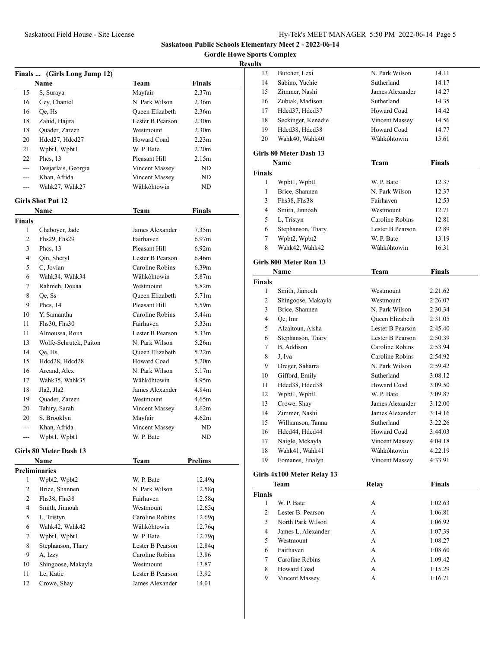**Gordie Howe Sports Complex**

### **Results**

| Finals  (Girls Long Jump 12) |                          |                       |                   |
|------------------------------|--------------------------|-----------------------|-------------------|
|                              | Name                     | Team                  | <b>Finals</b>     |
| 15                           | S, Suraya                | Mayfair               | 2.37m             |
| 16                           | Cey, Chantel             | N. Park Wilson        | 2.36 <sub>m</sub> |
| 16                           | Qe, Hs                   | Queen Elizabeth       | 2.36 <sub>m</sub> |
| 18                           | Zahid, Hajira            | Lester B Pearson      | 2.30 <sub>m</sub> |
| 18                           | Quader, Zareen           | Westmount             | 2.30 <sub>m</sub> |
| 20                           | Hdcd27, Hdcd27           | Howard Coad           | 2.23 <sub>m</sub> |
| 21                           | Wpbt1, Wpbt1             | W. P. Bate            | 2.20 <sub>m</sub> |
| 22                           | Phcs. $13$               | Pleasant Hill         | 2.15m             |
| $---$                        | Desjarlais, Georgia      | <b>Vincent Massey</b> | ND                |
| ---                          | Khan, Afrida             | Vincent Massey        | ND.               |
| $---$                        | Wahk27, Wahk27           | Wâhkôhtowin           | ND                |
|                              | <b>Girls Shot Put 12</b> |                       |                   |
|                              |                          |                       |                   |
|                              | Name                     | Team                  | <b>Finals</b>     |
| <b>Finals</b>                |                          |                       |                   |
| 1                            | Chaboyer, Jade           | James Alexander       | 7.35m             |
| 2                            | Fhs29, Fhs29             | Fairhaven             | 6.97 <sub>m</sub> |
| 3                            | Phcs, 13                 | Pleasant Hill         | 6.92m             |
| 4                            | Oin, Sheryl              | Lester B Pearson      | 6.46m             |
| 5                            | C, Jovian                | Caroline Robins       | 6.39m             |
| 6                            | Wahk34, Wahk34           | Wâhkôhtowin           | 5.87m             |
| 7                            | Rahmeh, Douaa            | Westmount             | 5.82m             |
| 8                            | Oe, Ss                   | Queen Elizabeth       | 5.71m             |
| 9                            | Phcs, 14                 | Pleasant Hill         | 5.59m             |
| 10                           | Y, Samantha              | Caroline Robins       | 5.44m             |
| 11                           | Fhs30, Fhs30             | Fairhaven             | 5.33m             |
| 11                           | Almoussa, Roua           | Lester B Pearson      | 5.33m             |
| 13                           | Wolfe-Schrutek, Paiton   | N. Park Wilson        | 5.26m             |
| 14                           | Qe, Hs                   | Queen Elizabeth       | 5.22m             |
| 15                           | Hdcd28, Hdcd28           | Howard Coad           | 5.20m             |
| 16                           | Arcand, Alex             | N. Park Wilson        | 5.17m             |
| 17                           | Wahk35, Wahk35           | Wâhkôhtowin           | 4.95m             |
| 18                           | Jla2, Jla2               | James Alexander       | 4.84m             |
| 19                           | Quader, Zareen           | Westmount             | 4.65m             |
| 20                           | Tahiry, Sarah            | Vincent Massey        | 4.62m             |
| 20                           | S, Brooklyn              | Mayfair               | 4.62m             |
| ---                          | Khan, Afrida             | Vincent Massey        | ND                |
|                              | Wpbt1, Wpbt1             | W. P. Bate            | ND                |
|                              | Girls 80 Meter Dash 13   |                       |                   |
|                              | Name                     | <b>Team</b>           | <b>Prelims</b>    |
|                              | <b>Preliminaries</b>     |                       |                   |
| 1                            | Wpbt2, Wpbt2             | W. P. Bate            | 12.49q            |
| $\overline{2}$               | Brice, Shannen           | N. Park Wilson        | 12.58q            |
| 2                            | Fhs38, Fhs38             | Fairhaven             | 12.58q            |
| 4                            | Smith, Jinnoah           | Westmount             | 12.65q            |
| 5                            | L, Tristyn               | Caroline Robins       | 12.69q            |
| 6                            | Wahk42, Wahk42           | Wâhkôhtowin           | 12.76q            |
| 7                            | Wpbt1, Wpbt1             | W. P. Bate            | 12.79q            |
| 8                            |                          | Lester B Pearson      |                   |
|                              | Stephanson, Thary        |                       | 12.84q            |
| 9                            | A, Izzy                  | Caroline Robins       | 13.86             |
| 10                           | Shingoose, Makayla       | Westmount             | 13.87             |
| 11                           | Le, Katie                | Lester B Pearson      | 13.92             |
| 12                           | Crowe, Shay              | James Alexander       | 14.01             |

| 13             | Butcher, Lexi              | N. Park Wilson   | 14.11         |  |
|----------------|----------------------------|------------------|---------------|--|
| 14             | Sabino, Yuchie             | Sutherland       | 14.17         |  |
| 15             | Zimmer, Nashi              | James Alexander  | 14.27         |  |
| 16             | Zubiak, Madison            | Sutherland       | 14.35         |  |
| 17             | Hdcd37, Hdcd37             | Howard Coad      | 14.42         |  |
| 18             | Seckinger, Kenadie         | Vincent Massey   | 14.56         |  |
| 19             | Hdcd38, Hdcd38             | Howard Coad      | 14.77         |  |
| 20             | Wahk40, Wahk40             | Wâhkôhtowin      | 15.61         |  |
|                | Girls 80 Meter Dash 13     |                  |               |  |
|                | Name                       | Team             | <b>Finals</b> |  |
| <b>Finals</b>  |                            |                  |               |  |
| 1              | Wpbt1, Wpbt1               | W. P. Bate       | 12.37         |  |
| 1              | Brice, Shannen             | N. Park Wilson   | 12.37         |  |
| 3              | Fhs38, Fhs38               | Fairhaven        | 12.53         |  |
| 4              | Smith, Jinnoah             | Westmount        | 12.71         |  |
| 5              | L, Tristyn                 | Caroline Robins  | 12.81         |  |
| 6              | Stephanson, Thary          | Lester B Pearson | 12.89         |  |
| 7              | Wpbt2, Wpbt2               | W. P. Bate       | 13.19         |  |
| 8              | Wahk42, Wahk42             | Wâhkôhtowin      | 16.31         |  |
|                | Girls 800 Meter Run 13     |                  |               |  |
|                | Name                       | Team             | Finals        |  |
| <b>Finals</b>  |                            |                  |               |  |
| 1              | Smith, Jinnoah             | Westmount        | 2:21.62       |  |
| 2              | Shingoose, Makayla         | Westmount        | 2:26.07       |  |
| 3              | Brice, Shannen             | N. Park Wilson   | 2:30.34       |  |
| 4              | Oe, Imr                    | Queen Elizabeth  | 2:31.05       |  |
| 5              | Alzaitoun, Aisha           | Lester B Pearson | 2:45.40       |  |
| 6              | Stephanson, Thary          | Lester B Pearson | 2:50.39       |  |
| 7              | B. Addison                 | Caroline Robins  | 2:53.94       |  |
| 8              | J, Iva                     | Caroline Robins  | 2:54.92       |  |
| 9              | Dreger, Saharra            | N. Park Wilson   | 2:59.42       |  |
| 10             | Gifford, Emily             | Sutherland       | 3:08.12       |  |
| 11             | Hdcd38, Hdcd38             | Howard Coad      | 3:09.50       |  |
| 12             | Wpbt1, Wpbt1               | W. P. Bate       | 3:09.87       |  |
| 13             | Crowe, Shay                | James Alexander  | 3:12.00       |  |
| 14             | Zimmer, Nashi              | James Alexander  | 3:14.16       |  |
| 15             | Williamson, Tanna          | Sutherland       | 3:22.26       |  |
| 16             | Hdcd44, Hdcd44             | Howard Coad      | 3:44.03       |  |
| 17             | Naigle, Mckayla            | Vincent Massey   | 4:04.18       |  |
| 18             | Wahk41, Wahk41             | Wâhkôhtowin      | 4:22.19       |  |
| 19             | Fomanes, Jinalyn           | Vincent Massey   | 4:33.91       |  |
|                | Girls 4x100 Meter Relay 13 |                  |               |  |
|                | <b>Team</b>                | <b>Relay</b>     | <b>Finals</b> |  |
| <b>Finals</b>  |                            |                  |               |  |
| 1              | W. P. Bate                 | А                | 1:02.63       |  |
| $\overline{c}$ | Lester B. Pearson          | A                | 1:06.81       |  |
| 3              | North Park Wilson          | A                | 1:06.92       |  |
| 4              | James L. Alexander         | A                | 1:07.39       |  |
| 5              | Westmount                  | A                | 1:08.27       |  |
| 6              | Fairhaven                  | А                | 1:08.60       |  |
| 7              | Caroline Robins            | А                | 1:09.42       |  |

8 Howard Coad A 1:15.29 Vincent Massey A 1:16.71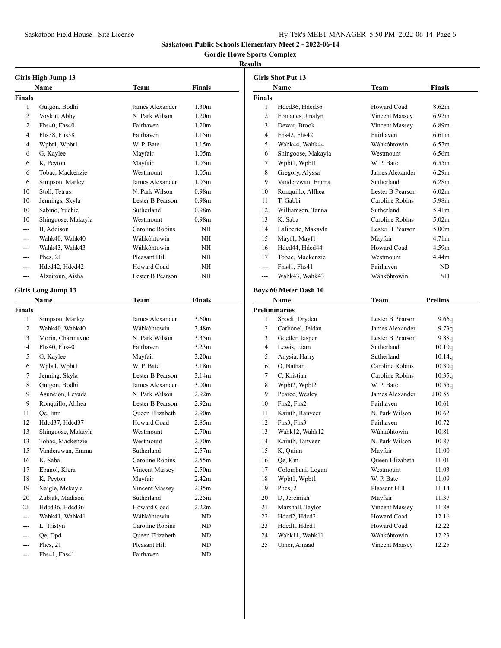# **Gordie Howe Sports Complex**

### **Results**

| <b>Girls High Jump 13</b> |                           |                                   |                                        |  |
|---------------------------|---------------------------|-----------------------------------|----------------------------------------|--|
|                           | Name                      | Team                              | Finals                                 |  |
| <b>Finals</b>             |                           |                                   |                                        |  |
| 1                         | Guigon, Bodhi             | James Alexander                   | 1.30 <sub>m</sub>                      |  |
| 2                         | Voykin, Abby              | N. Park Wilson                    | 1.20 <sub>m</sub>                      |  |
| $\overline{c}$            | Fhs40, Fhs40              | Fairhaven                         | 1.20 <sub>m</sub>                      |  |
| 4                         | Fhs38, Fhs38              | Fairhaven                         | 1.15m                                  |  |
| 4                         | Wpbt1, Wpbt1              | W. P. Bate                        | 1.15m                                  |  |
| 6                         | G, Kaylee                 | Mayfair                           | 1.05m                                  |  |
| 6                         | K, Peyton                 | Mayfair                           | 1.05m                                  |  |
| 6                         | Tobac, Mackenzie          | Westmount                         | 1.05m                                  |  |
| 6                         | Simpson, Marley           | James Alexander                   | 1.05m                                  |  |
| 10                        | Stoll, Tetrus             | N. Park Wilson                    | 0.98 <sub>m</sub>                      |  |
| 10                        | Jennings, Skyla           | Lester B Pearson                  | 0.98 <sub>m</sub>                      |  |
| 10                        | Sabino, Yuchie            | Sutherland                        | 0.98 <sub>m</sub>                      |  |
| 10                        | Shingoose, Makayla        | Westmount                         | 0.98 <sub>m</sub>                      |  |
| $- - -$                   | B, Addison                | Caroline Robins                   | NΗ                                     |  |
| $- - -$                   | Wahk40, Wahk40            | Wâhkôhtowin                       | NΗ                                     |  |
| $---$                     | Wahk43, Wahk43            | Wâhkôhtowin                       | NΗ                                     |  |
| $- - -$                   | Phcs, 21                  | Pleasant Hill                     | NΗ                                     |  |
| $---$                     | Hdcd42, Hdcd42            | Howard Coad                       | NΗ                                     |  |
| ---                       | Alzaitoun, Aisha          | Lester B Pearson                  | NΗ                                     |  |
|                           |                           |                                   |                                        |  |
|                           | <b>Girls Long Jump 13</b> |                                   |                                        |  |
|                           | Name                      | Team                              | Finals                                 |  |
| <b>Finals</b>             |                           |                                   |                                        |  |
| 1                         | Simpson, Marley           | James Alexander                   | 3.60 <sub>m</sub>                      |  |
| 2                         | Wahk40, Wahk40            | Wâhkôhtowin<br>N. Park Wilson     | 3.48m                                  |  |
| 3                         | Morin, Charmayne          |                                   | 3.35m                                  |  |
| 4                         | Fhs40, Fhs40              | Fairhaven                         | 3.23 <sub>m</sub>                      |  |
| 5                         | G, Kaylee                 | Mayfair<br>W. P. Bate             | 3.20 <sub>m</sub>                      |  |
| 6                         | Wpbt1, Wpbt1              |                                   | 3.18 <sub>m</sub>                      |  |
| 7                         | Jenning, Skyla            | Lester B Pearson                  | 3.14m                                  |  |
| 8                         | Guigon, Bodhi             | James Alexander<br>N. Park Wilson | 3.00 <sub>m</sub><br>2.92 <sub>m</sub> |  |
| 9                         | Asuncion, Leyada          |                                   |                                        |  |
| 9                         | Ronquillo, Alfhea         | Lester B Pearson                  | 2.92 <sub>m</sub>                      |  |
| 11                        | Qe, Imr                   | Oueen Elizabeth<br>Howard Coad    | 2.90 <sub>m</sub>                      |  |
| 12                        | Hdcd37, Hdcd37            |                                   | 2.85m                                  |  |
| 13                        | Shingoose, Makayla        | Westmount                         | 2.70 <sub>m</sub>                      |  |
| 13                        | Tobac, Mackenzie          | Westmount                         | 2.70m                                  |  |
| 15                        | Vanderzwan, Emma          | Sutherland                        | 2.57m                                  |  |
| 16                        | K, Saba                   | Caroline Robins                   | 2.55m                                  |  |
| 17                        | Ebanol, Kiera             | Vincent Massey                    | 2.50m                                  |  |
| 18                        | K, Peyton                 | Mayfair                           | 2.42 <sub>m</sub>                      |  |
| 19                        | Naigle, Mckayla           | Vincent Massey                    | 2.35m                                  |  |
| 20                        | Zubiak, Madison           | Sutherland                        | 2.25m                                  |  |
| 21                        | Hdcd36, Hdcd36            | Howard Coad                       | 2.22m                                  |  |
| $---$                     | Wahk41, Wahk41            | Wâhkôhtowin                       | ND                                     |  |
| ---                       | L, Tristyn                | Caroline Robins                   | ND                                     |  |
| ---                       | Qe, Dpd                   | Queen Elizabeth                   | ND                                     |  |
| ---                       | Phcs, 21                  | Pleasant Hill                     | ND                                     |  |
| $---$                     | Fhs41, Fhs41              | Fairhaven                         | ND                                     |  |

| <b>Girls Shot Put 13</b> |                              |                       |                   |
|--------------------------|------------------------------|-----------------------|-------------------|
|                          | <b>Name</b>                  | Team                  | Finals            |
| <b>Finals</b>            |                              |                       |                   |
| 1                        | Hdcd36, Hdcd36               | Howard Coad           | 8.62m             |
| 2                        | Fomanes, Jinalyn             | <b>Vincent Massey</b> | 6.92m             |
| 3                        | Dewar, Brook                 | Vincent Massey        | 6.89m             |
| 4                        | Fhs42, Fhs42                 | Fairhaven             | 6.61 <sub>m</sub> |
| 5                        | Wahk44, Wahk44               | Wâhkôhtowin           | 6.57m             |
| 6                        | Shingoose, Makayla           | Westmount             | 6.56m             |
| 7                        | Wpbt1, Wpbt1                 | W. P. Bate            | 6.55m             |
| 8                        | Gregory, Alyssa              | James Alexander       | 6.29m             |
| 9                        | Vanderzwan, Emma             | Sutherland            | 6.28 <sub>m</sub> |
| 10                       | Ronquillo, Alfhea            | Lester B Pearson      | 6.02m             |
| 11                       | T, Gabbi                     | Caroline Robins       | 5.98m             |
| 12                       | Williamson, Tanna            | Sutherland            | 5.41m             |
| 13                       | K, Saba                      | Caroline Robins       | 5.02m             |
| 14                       | Laliberte, Makayla           | Lester B Pearson      | 5.00 <sub>m</sub> |
| 15                       | Mayf1, Mayf1                 | Mayfair               | 4.71 <sub>m</sub> |
| 16                       | Hdcd44, Hdcd44               | Howard Coad           | 4.59m             |
| 17                       | Tobac, Mackenzie             | Westmount             | 4.44m             |
| $---$                    | Fhs41, Fhs41                 | Fairhaven             | ND                |
| $---$                    | Wahk43, Wahk43               | Wâhkôhtowin           | ND                |
|                          |                              |                       |                   |
|                          | <b>Boys 60 Meter Dash 10</b> |                       |                   |
|                          | Name                         | <b>Team</b>           | <b>Prelims</b>    |
|                          | <b>Preliminaries</b>         |                       |                   |
| 1                        | Spock, Dryden                | Lester B Pearson      | 9.66q             |
| 2                        | Carbonel, Jeidan             | James Alexander       | 9.73q             |
| 3                        | Goetler, Jasper              | Lester B Pearson      | 9.88q             |
| 4                        | Lewis, Liam                  | Sutherland            | 10.10q            |
| 5                        | Anysia, Harry                | Sutherland            | 10.14q            |
| 6                        | O, Nathan                    | Caroline Robins       | 10.30q            |
| 7                        | C. Kristian                  | Caroline Robins       | 10.35q            |
| 8                        | Wpbt2, Wpbt2                 | W. P. Bate            | 10.55q            |
| 9                        | Pearce, Wesley               | James Alexander       | J10.55            |
| 10                       | Fhs2. Fhs2                   | Fairhaven             | 10.61             |
| 11                       | Kainth, Ranveer              | N. Park Wilson        | 10.62             |
| 12                       | Fhs3, Fhs3                   | Fairhaven             | 10.72             |
| 13                       | Wahk12, Wahk12               | Wâhkôhtowin           | 10.81             |
| 14                       | Kainth, Tanveer              | N. Park Wilson        | 10.87             |
| 15                       | K, Quinn                     | Mayfair               | 11.00             |
| 16                       | Qe, Km                       | Queen Elizabeth       | 11.01             |
| 17                       | Colombani, Logan             | Westmount             | 11.03             |
| 18                       | Wpbt1, Wpbt1                 | W. P. Bate            | 11.09             |
| 19                       | Phcs, 2                      | Pleasant Hill         | 11.14             |
| 20                       | D, Jeremiah                  | Mayfair               | 11.37             |
| 21                       | Marshall, Taylor             | Vincent Massey        | 11.88             |
| 22                       | Hdcd2, Hdcd2                 | Howard Coad           | 12.16             |
| 23                       | Hdcd1, Hdcd1                 | Howard Coad           | 12.22             |
| 24                       | Wahk11, Wahk11               | Wâhkôhtowin           | 12.23             |
| 25                       | Umer, Amaad                  | Vincent Massey        | 12.25             |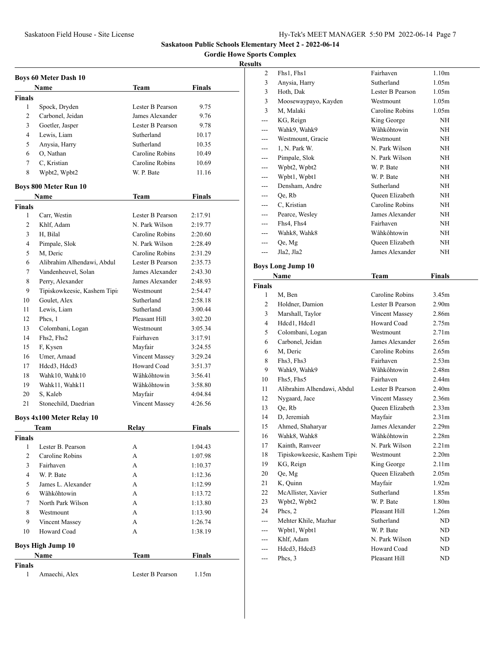**Gordie Howe Sports Complex**

|                | <b>Boys 60 Meter Dash 10</b>     |                                      |         |
|----------------|----------------------------------|--------------------------------------|---------|
|                | Name                             | Team                                 | Finals  |
| <b>Finals</b>  |                                  |                                      |         |
| 1              | Spock, Dryden                    | Lester B Pearson                     | 9.75    |
| 2              | Carbonel, Jeidan                 | James Alexander                      | 9.76    |
| 3              | Goetler, Jasper                  | Lester B Pearson                     | 9.78    |
| 4              | Lewis, Liam                      | Sutherland                           | 10.17   |
| 5              | Anysia, Harry                    | Sutherland                           | 10.35   |
| 6              | O, Nathan                        | Caroline Robins                      | 10.49   |
| 7              | C, Kristian                      | Caroline Robins                      | 10.69   |
| 8              | Wpbt2, Wpbt2                     | W. P. Bate                           | 11.16   |
|                | <b>Boys 800 Meter Run 10</b>     |                                      |         |
|                | <b>Name</b>                      | Team                                 | Finals  |
| <b>Finals</b>  |                                  |                                      |         |
| 1              | Carr, Westin                     | Lester B Pearson                     | 2:17.91 |
| 2              | Khlf, Adam                       | N. Park Wilson                       | 2:19.77 |
| 3              | H, Bilal                         | Caroline Robins                      | 2:20.60 |
| 4              | Pimpale, Slok                    | N. Park Wilson                       | 2:28.49 |
| 5              | M. Deric                         | Caroline Robins                      | 2:31.29 |
| 6              | Alibrahim Alhendawi, Abdul       | Lester B Pearson                     | 2:35.73 |
| 7              | Vandenheuvel, Solan              | James Alexander                      | 2:43.30 |
| 8              | Perry, Alexander                 | James Alexander                      | 2:48.93 |
| 9              | Tipiskowkeesic, Kashem Tipi:     | Westmount                            | 2:54.47 |
| 10             | Goulet, Alex                     | Sutherland                           | 2:58.18 |
| 11             | Lewis, Liam                      | Sutherland                           | 3:00.44 |
| 12             | Phcs, 1                          | Pleasant Hill                        | 3:02.20 |
| 13             | Colombani, Logan                 | Westmount                            | 3:05.34 |
| 14             | Fhs2, Fhs2                       | Fairhaven                            | 3:17.91 |
| 15             | F, Kysen                         | Mayfair                              | 3:24.55 |
|                | Umer, Amaad                      |                                      |         |
| 16             |                                  | <b>Vincent Massey</b><br>Howard Coad | 3:29.24 |
| 17             | Hdcd3, Hdcd3                     |                                      | 3:51.37 |
| 18             | Wahk10, Wahk10                   | Wâhkôhtowin                          | 3:56.41 |
| 19             | Wahk11, Wahk11                   | Wâhkôhtowin                          | 3:58.80 |
| 20             | S, Kaleb                         | Mayfair                              | 4:04.84 |
| 21             | Stonechild, Daedrian             | Vincent Massey                       | 4:26.56 |
|                | <b>Boys 4x100 Meter Relay 10</b> |                                      |         |
|                | Team                             | Relay                                | Finals  |
| Finals         |                                  |                                      |         |
| 1              | Lester B. Pearson                | А                                    | 1:04.43 |
| $\overline{c}$ | Caroline Robins                  | А                                    | 1:07.98 |
| 3              | Fairhaven                        | A                                    | 1:10.37 |
| $\overline{4}$ | W. P. Bate                       | А                                    | 1:12.36 |
| 5              | James L. Alexander               | А                                    | 1:12.99 |
| 6              | Wâhkôhtowin                      | А                                    | 1:13.72 |
| 7              | North Park Wilson                | А                                    | 1:13.80 |
| 8              | Westmount                        | А                                    | 1:13.90 |
| 9              | Vincent Massey                   | А                                    | 1:26.74 |
| 10             | Howard Coad                      | А                                    | 1:38.19 |
|                | <b>Boys High Jump 10</b>         |                                      |         |
|                | Name                             | Team                                 | Finals  |
| <b>Finals</b>  |                                  |                                      |         |
| 1              | Amaechi, Alex                    | Lester B Pearson                     | 1.15m   |

| Fhs1, Fhs1           | Fairhaven                                                                                                                                                                                                                                                                                                                                                                                                                                                                                                  | 1.10 <sub>m</sub>                                                                                                                                                                                                                                                                                                                                                                                                                                                          |                                                                                                                                                                                                                                                                                                                                                                                                                                              |
|----------------------|------------------------------------------------------------------------------------------------------------------------------------------------------------------------------------------------------------------------------------------------------------------------------------------------------------------------------------------------------------------------------------------------------------------------------------------------------------------------------------------------------------|----------------------------------------------------------------------------------------------------------------------------------------------------------------------------------------------------------------------------------------------------------------------------------------------------------------------------------------------------------------------------------------------------------------------------------------------------------------------------|----------------------------------------------------------------------------------------------------------------------------------------------------------------------------------------------------------------------------------------------------------------------------------------------------------------------------------------------------------------------------------------------------------------------------------------------|
| Anysia, Harry        | Sutherland                                                                                                                                                                                                                                                                                                                                                                                                                                                                                                 | 1.05 <sub>m</sub>                                                                                                                                                                                                                                                                                                                                                                                                                                                          |                                                                                                                                                                                                                                                                                                                                                                                                                                              |
| Hoth, Dak            | Lester B Pearson                                                                                                                                                                                                                                                                                                                                                                                                                                                                                           | 1.05m                                                                                                                                                                                                                                                                                                                                                                                                                                                                      |                                                                                                                                                                                                                                                                                                                                                                                                                                              |
| Moosewaypayo, Kayden | Westmount                                                                                                                                                                                                                                                                                                                                                                                                                                                                                                  | 1.05m                                                                                                                                                                                                                                                                                                                                                                                                                                                                      |                                                                                                                                                                                                                                                                                                                                                                                                                                              |
| M. Malaki            | Caroline Robins                                                                                                                                                                                                                                                                                                                                                                                                                                                                                            | 1.05m                                                                                                                                                                                                                                                                                                                                                                                                                                                                      |                                                                                                                                                                                                                                                                                                                                                                                                                                              |
| KG, Reign            | King George                                                                                                                                                                                                                                                                                                                                                                                                                                                                                                | <b>NH</b>                                                                                                                                                                                                                                                                                                                                                                                                                                                                  |                                                                                                                                                                                                                                                                                                                                                                                                                                              |
| Wahk9, Wahk9         | Wâhkôhtowin                                                                                                                                                                                                                                                                                                                                                                                                                                                                                                | NΗ                                                                                                                                                                                                                                                                                                                                                                                                                                                                         |                                                                                                                                                                                                                                                                                                                                                                                                                                              |
| Westmount, Gracie    | Westmount                                                                                                                                                                                                                                                                                                                                                                                                                                                                                                  | NH                                                                                                                                                                                                                                                                                                                                                                                                                                                                         |                                                                                                                                                                                                                                                                                                                                                                                                                                              |
| 1. N. Park W.        | N. Park Wilson                                                                                                                                                                                                                                                                                                                                                                                                                                                                                             | NH                                                                                                                                                                                                                                                                                                                                                                                                                                                                         |                                                                                                                                                                                                                                                                                                                                                                                                                                              |
| Pimpale, Slok        | N. Park Wilson                                                                                                                                                                                                                                                                                                                                                                                                                                                                                             | NH                                                                                                                                                                                                                                                                                                                                                                                                                                                                         |                                                                                                                                                                                                                                                                                                                                                                                                                                              |
| Wpbt2, Wpbt2         | W. P. Bate                                                                                                                                                                                                                                                                                                                                                                                                                                                                                                 | NH                                                                                                                                                                                                                                                                                                                                                                                                                                                                         |                                                                                                                                                                                                                                                                                                                                                                                                                                              |
| Wpbt1, Wpbt1         | W. P. Bate                                                                                                                                                                                                                                                                                                                                                                                                                                                                                                 | NH                                                                                                                                                                                                                                                                                                                                                                                                                                                                         |                                                                                                                                                                                                                                                                                                                                                                                                                                              |
| Densham, Andre       | Sutherland                                                                                                                                                                                                                                                                                                                                                                                                                                                                                                 | NH                                                                                                                                                                                                                                                                                                                                                                                                                                                                         |                                                                                                                                                                                                                                                                                                                                                                                                                                              |
| Oe, Rb               | Queen Elizabeth                                                                                                                                                                                                                                                                                                                                                                                                                                                                                            | NH                                                                                                                                                                                                                                                                                                                                                                                                                                                                         |                                                                                                                                                                                                                                                                                                                                                                                                                                              |
| C, Kristian          | Caroline Robins                                                                                                                                                                                                                                                                                                                                                                                                                                                                                            | NH                                                                                                                                                                                                                                                                                                                                                                                                                                                                         |                                                                                                                                                                                                                                                                                                                                                                                                                                              |
| Pearce, Wesley       | James Alexander                                                                                                                                                                                                                                                                                                                                                                                                                                                                                            | NH                                                                                                                                                                                                                                                                                                                                                                                                                                                                         |                                                                                                                                                                                                                                                                                                                                                                                                                                              |
| Fhs4, Fhs4           | Fairhaven                                                                                                                                                                                                                                                                                                                                                                                                                                                                                                  | NΗ                                                                                                                                                                                                                                                                                                                                                                                                                                                                         |                                                                                                                                                                                                                                                                                                                                                                                                                                              |
| Wahk8, Wahk8         | Wâhkôhtowin                                                                                                                                                                                                                                                                                                                                                                                                                                                                                                | NΗ                                                                                                                                                                                                                                                                                                                                                                                                                                                                         |                                                                                                                                                                                                                                                                                                                                                                                                                                              |
| Qe, Mg               | Oueen Elizabeth                                                                                                                                                                                                                                                                                                                                                                                                                                                                                            | NΗ                                                                                                                                                                                                                                                                                                                                                                                                                                                                         |                                                                                                                                                                                                                                                                                                                                                                                                                                              |
| Jla2, Jla2           | James Alexander                                                                                                                                                                                                                                                                                                                                                                                                                                                                                            | NH                                                                                                                                                                                                                                                                                                                                                                                                                                                                         |                                                                                                                                                                                                                                                                                                                                                                                                                                              |
|                      |                                                                                                                                                                                                                                                                                                                                                                                                                                                                                                            |                                                                                                                                                                                                                                                                                                                                                                                                                                                                            |                                                                                                                                                                                                                                                                                                                                                                                                                                              |
|                      |                                                                                                                                                                                                                                                                                                                                                                                                                                                                                                            |                                                                                                                                                                                                                                                                                                                                                                                                                                                                            |                                                                                                                                                                                                                                                                                                                                                                                                                                              |
|                      |                                                                                                                                                                                                                                                                                                                                                                                                                                                                                                            |                                                                                                                                                                                                                                                                                                                                                                                                                                                                            |                                                                                                                                                                                                                                                                                                                                                                                                                                              |
|                      |                                                                                                                                                                                                                                                                                                                                                                                                                                                                                                            |                                                                                                                                                                                                                                                                                                                                                                                                                                                                            |                                                                                                                                                                                                                                                                                                                                                                                                                                              |
|                      |                                                                                                                                                                                                                                                                                                                                                                                                                                                                                                            |                                                                                                                                                                                                                                                                                                                                                                                                                                                                            |                                                                                                                                                                                                                                                                                                                                                                                                                                              |
|                      |                                                                                                                                                                                                                                                                                                                                                                                                                                                                                                            |                                                                                                                                                                                                                                                                                                                                                                                                                                                                            |                                                                                                                                                                                                                                                                                                                                                                                                                                              |
|                      |                                                                                                                                                                                                                                                                                                                                                                                                                                                                                                            |                                                                                                                                                                                                                                                                                                                                                                                                                                                                            |                                                                                                                                                                                                                                                                                                                                                                                                                                              |
|                      |                                                                                                                                                                                                                                                                                                                                                                                                                                                                                                            |                                                                                                                                                                                                                                                                                                                                                                                                                                                                            |                                                                                                                                                                                                                                                                                                                                                                                                                                              |
|                      |                                                                                                                                                                                                                                                                                                                                                                                                                                                                                                            |                                                                                                                                                                                                                                                                                                                                                                                                                                                                            |                                                                                                                                                                                                                                                                                                                                                                                                                                              |
|                      |                                                                                                                                                                                                                                                                                                                                                                                                                                                                                                            |                                                                                                                                                                                                                                                                                                                                                                                                                                                                            |                                                                                                                                                                                                                                                                                                                                                                                                                                              |
|                      |                                                                                                                                                                                                                                                                                                                                                                                                                                                                                                            |                                                                                                                                                                                                                                                                                                                                                                                                                                                                            |                                                                                                                                                                                                                                                                                                                                                                                                                                              |
|                      |                                                                                                                                                                                                                                                                                                                                                                                                                                                                                                            |                                                                                                                                                                                                                                                                                                                                                                                                                                                                            |                                                                                                                                                                                                                                                                                                                                                                                                                                              |
|                      |                                                                                                                                                                                                                                                                                                                                                                                                                                                                                                            |                                                                                                                                                                                                                                                                                                                                                                                                                                                                            |                                                                                                                                                                                                                                                                                                                                                                                                                                              |
|                      |                                                                                                                                                                                                                                                                                                                                                                                                                                                                                                            |                                                                                                                                                                                                                                                                                                                                                                                                                                                                            |                                                                                                                                                                                                                                                                                                                                                                                                                                              |
|                      |                                                                                                                                                                                                                                                                                                                                                                                                                                                                                                            |                                                                                                                                                                                                                                                                                                                                                                                                                                                                            |                                                                                                                                                                                                                                                                                                                                                                                                                                              |
|                      |                                                                                                                                                                                                                                                                                                                                                                                                                                                                                                            |                                                                                                                                                                                                                                                                                                                                                                                                                                                                            |                                                                                                                                                                                                                                                                                                                                                                                                                                              |
|                      |                                                                                                                                                                                                                                                                                                                                                                                                                                                                                                            |                                                                                                                                                                                                                                                                                                                                                                                                                                                                            |                                                                                                                                                                                                                                                                                                                                                                                                                                              |
|                      |                                                                                                                                                                                                                                                                                                                                                                                                                                                                                                            |                                                                                                                                                                                                                                                                                                                                                                                                                                                                            |                                                                                                                                                                                                                                                                                                                                                                                                                                              |
|                      |                                                                                                                                                                                                                                                                                                                                                                                                                                                                                                            |                                                                                                                                                                                                                                                                                                                                                                                                                                                                            |                                                                                                                                                                                                                                                                                                                                                                                                                                              |
|                      |                                                                                                                                                                                                                                                                                                                                                                                                                                                                                                            |                                                                                                                                                                                                                                                                                                                                                                                                                                                                            |                                                                                                                                                                                                                                                                                                                                                                                                                                              |
|                      |                                                                                                                                                                                                                                                                                                                                                                                                                                                                                                            |                                                                                                                                                                                                                                                                                                                                                                                                                                                                            |                                                                                                                                                                                                                                                                                                                                                                                                                                              |
|                      |                                                                                                                                                                                                                                                                                                                                                                                                                                                                                                            |                                                                                                                                                                                                                                                                                                                                                                                                                                                                            |                                                                                                                                                                                                                                                                                                                                                                                                                                              |
|                      |                                                                                                                                                                                                                                                                                                                                                                                                                                                                                                            |                                                                                                                                                                                                                                                                                                                                                                                                                                                                            |                                                                                                                                                                                                                                                                                                                                                                                                                                              |
|                      |                                                                                                                                                                                                                                                                                                                                                                                                                                                                                                            |                                                                                                                                                                                                                                                                                                                                                                                                                                                                            |                                                                                                                                                                                                                                                                                                                                                                                                                                              |
|                      |                                                                                                                                                                                                                                                                                                                                                                                                                                                                                                            |                                                                                                                                                                                                                                                                                                                                                                                                                                                                            |                                                                                                                                                                                                                                                                                                                                                                                                                                              |
|                      |                                                                                                                                                                                                                                                                                                                                                                                                                                                                                                            |                                                                                                                                                                                                                                                                                                                                                                                                                                                                            |                                                                                                                                                                                                                                                                                                                                                                                                                                              |
|                      |                                                                                                                                                                                                                                                                                                                                                                                                                                                                                                            |                                                                                                                                                                                                                                                                                                                                                                                                                                                                            |                                                                                                                                                                                                                                                                                                                                                                                                                                              |
|                      |                                                                                                                                                                                                                                                                                                                                                                                                                                                                                                            |                                                                                                                                                                                                                                                                                                                                                                                                                                                                            |                                                                                                                                                                                                                                                                                                                                                                                                                                              |
|                      |                                                                                                                                                                                                                                                                                                                                                                                                                                                                                                            |                                                                                                                                                                                                                                                                                                                                                                                                                                                                            |                                                                                                                                                                                                                                                                                                                                                                                                                                              |
|                      |                                                                                                                                                                                                                                                                                                                                                                                                                                                                                                            |                                                                                                                                                                                                                                                                                                                                                                                                                                                                            |                                                                                                                                                                                                                                                                                                                                                                                                                                              |
|                      |                                                                                                                                                                                                                                                                                                                                                                                                                                                                                                            |                                                                                                                                                                                                                                                                                                                                                                                                                                                                            |                                                                                                                                                                                                                                                                                                                                                                                                                                              |
|                      |                                                                                                                                                                                                                                                                                                                                                                                                                                                                                                            |                                                                                                                                                                                                                                                                                                                                                                                                                                                                            |                                                                                                                                                                                                                                                                                                                                                                                                                                              |
| Phcs, 3              | Pleasant Hill                                                                                                                                                                                                                                                                                                                                                                                                                                                                                              | ND                                                                                                                                                                                                                                                                                                                                                                                                                                                                         |                                                                                                                                                                                                                                                                                                                                                                                                                                              |
|                      | <b>Boys Long Jump 10</b><br>Name<br>M. Ben<br>Holdner, Damion<br>Marshall, Taylor<br>Hdcd1, Hdcd1<br>Colombani, Logan<br>Carbonel, Jeidan<br>M, Deric<br>Fhs3, Fhs3<br>Wahk9, Wahk9<br>Fhs5, Fhs5<br>Alibrahim Alhendawi, Abdul<br>Nygaard, Jace<br>Oe, Rb<br>D, Jeremiah<br>Ahmed, Shaharyar<br>Wahk8, Wahk8<br>Kainth, Ranveer<br>Tipiskowkeesic, Kashem Tipis<br>KG, Reign<br>Qe, Mg<br>K, Quinn<br>McAllister, Xavier<br>Wpbt2, Wpbt2<br>Phcs, 2<br>Mehter Khile, Mazhar<br>Wpbt1, Wpbt1<br>Khlf, Adam | <b>Team</b><br>Caroline Robins<br>Lester B Pearson<br><b>Vincent Massey</b><br>Howard Coad<br>Westmount<br>James Alexander<br>Caroline Robins<br>Fairhaven<br>Wâhkôhtowin<br>Fairhaven<br>Lester B Pearson<br>Vincent Massey<br><b>Oueen Elizabeth</b><br>Mayfair<br>James Alexander<br>Wâhkôhtowin<br>N. Park Wilson<br>Westmount<br>King George<br>Queen Elizabeth<br>Mayfair<br>Sutherland<br>W. P. Bate<br>Pleasant Hill<br>Sutherland<br>W. P. Bate<br>N. Park Wilson | <b>Finals</b><br>3.45m<br>2.90 <sub>m</sub><br>2.86m<br>2.75m<br>2.71 <sub>m</sub><br>2.65m<br>2.65m<br>2.53 <sub>m</sub><br>2.48m<br>2.44m<br>2.40 <sub>m</sub><br>2.36 <sub>m</sub><br>2.33 <sub>m</sub><br>2.31 <sub>m</sub><br>2.29m<br>2.28m<br>2.21 <sub>m</sub><br>2.20 <sub>m</sub><br>2.11 <sub>m</sub><br>2.05 <sub>m</sub><br>1.92m<br>1.85m<br>1.80 <sub>m</sub><br>1.26m<br>ND<br>ND<br>ND<br>Hdcd3, Hdcd3<br>Howard Coad<br>ND |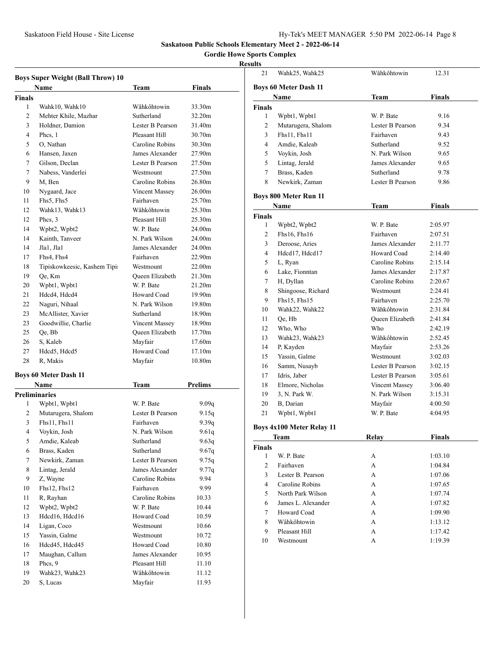# **Gordie Howe Sports Complex**

|               | <b>Boys Super Weight (Ball Throw) 10</b><br>Name | Team                  | <b>Finals</b>      |
|---------------|--------------------------------------------------|-----------------------|--------------------|
| <b>Finals</b> |                                                  |                       |                    |
| 1             | Wahk10, Wahk10                                   | Wâhkôhtowin           | 33.30m             |
| 2             | Mehter Khile, Mazhar                             | Sutherland            | 32.20m             |
| 3             | Holdner, Damion                                  | Lester B Pearson      | 31.40m             |
| 4             | Phcs, 1                                          | Pleasant Hill         | 30.70m             |
| 5             | O, Nathan                                        | Caroline Robins       | 30.30m             |
| 6             | Hansen, Jaxen                                    | James Alexander       | 27.90m             |
| 7             | Gilson, Declan                                   | Lester B Pearson      | 27.50m             |
| 7             | Nabess, Vanderlei                                | Westmount             | 27.50m             |
| 9             | M, Ben                                           | Caroline Robins       | 26.80m             |
| 10            | Nygaard, Jace                                    | Vincent Massey        | 26.00m             |
| 11            | Fhs5, Fhs5                                       | Fairhaven             | 25.70m             |
| 12            | Wahk13, Wahk13                                   | Wâhkôhtowin           | 25.30m             |
| 12            | Phcs, 3                                          | Pleasant Hill         | 25.30m             |
| 14            | Wpbt2, Wpbt2                                     | W. P. Bate            | 24.00m             |
| 14            | Kainth, Tanveer                                  | N. Park Wilson        | 24.00m             |
| 14            | Jla1, Jla1                                       | James Alexander       | 24.00m             |
| 17            | Fhs4, Fhs4                                       | Fairhaven             | 22.90m             |
| 18            | Tipiskowkeesic, Kashem Tipi:                     | Westmount             | 22.00m             |
| 19            | Qe, Km                                           | Queen Elizabeth       | 21.30m             |
| 20            | Wpbt1, Wpbt1                                     | W. P. Bate            | 21.20m             |
| 21            | Hdcd4, Hdcd4                                     | Howard Coad           | 19.90m             |
| 22            | Naguri, Nihaal                                   | N. Park Wilson        | 19.80m             |
| 23            | McAllister, Xavier                               | Sutherland            | 18.90m             |
| 23            | Goodwillie, Charlie                              | <b>Vincent Massey</b> | 18.90m             |
| 25            | Qe, Bb                                           | Queen Elizabeth       | 17.70m             |
| 26            | S, Kaleb                                         | Mayfair               | 17.60m             |
| 27            | Hdcd5, Hdcd5                                     | Howard Coad           | 17.10m             |
| 28            | R, Makis                                         | Mayfair               | 10.80 <sub>m</sub> |
|               | <b>Boys 60 Meter Dash 11</b>                     |                       |                    |
|               | Name                                             | Team                  | <b>Prelims</b>     |
|               | <b>Preliminaries</b>                             |                       |                    |
| 1             | Wpbt1, Wpbt1                                     | W. P. Bate            | 9.09q              |
| 2             | Mutarugera, Shalom                               | Lester B Pearson      | 9.15q              |
| 3             | Fhs11. Fhs11                                     | Fairhaven             | 9.39q              |
| 4             | Voykin, Josh                                     | N. Park Wilson        | 9.61q              |
| 5             | Amdie, Kaleab                                    | Sutherland            | 9.63q              |
| 6             | Brass, Kaden                                     | Sutherland            | 9.67q              |
| 7             | Newkirk, Zaman                                   | Lester B Pearson      | 9.75q              |
| 8             | Lintag, Jerald                                   | James Alexander       | 9.77q              |
| 9             | Z, Wayne                                         | Caroline Robins       | 9.94               |
| 10            | Fhs12, Fhs12                                     | Fairhaven             | 9.99               |
| 11            | R, Rayhan                                        | Caroline Robins       | 10.33              |
| 12            | Wpbt2, Wpbt2                                     | W. P. Bate            | 10.44              |
| 13            | Hdcd16, Hdcd16                                   | Howard Coad           | 10.59              |
| 14            | Ligan, Coco                                      | Westmount             | 10.66              |
| 15            | Yassin, Galme                                    | Westmount             | 10.72              |
| 16            | Hdcd45, Hdcd45                                   | Howard Coad           | 10.80              |
| 17            | Maughan, Callum                                  | James Alexander       | 10.95              |
| 18            | Phcs, 9                                          | Pleasant Hill         | 11.10              |
| 19            | Wahk23, Wahk23                                   | Wâhkôhtowin           | 11.12              |
| 20            | S, Lucas                                         | Mayfair               | 11.93              |
|               |                                                  |                       |                    |

| шњэ            |                                  |                  |               |  |  |  |  |
|----------------|----------------------------------|------------------|---------------|--|--|--|--|
| 21             | Wahk25, Wahk25                   | Wâhkôhtowin      | 12.31         |  |  |  |  |
|                | <b>Boys 60 Meter Dash 11</b>     |                  |               |  |  |  |  |
|                | Name                             | Team             | Finals        |  |  |  |  |
| <b>Finals</b>  |                                  |                  |               |  |  |  |  |
| 1              | Wpbt1, Wpbt1                     | W. P. Bate       | 9.16          |  |  |  |  |
| 2              | Mutarugera, Shalom               | Lester B Pearson | 9.34          |  |  |  |  |
| 3              | Fhs11, Fhs11                     | Fairhaven        | 9.43          |  |  |  |  |
| $\overline{4}$ | Amdie, Kaleab                    | Sutherland       | 9.52          |  |  |  |  |
| 5              | Voykin, Josh                     | N. Park Wilson   | 9.65          |  |  |  |  |
| 5              | Lintag, Jerald                   | James Alexander  | 9.65          |  |  |  |  |
| $\tau$         | Brass, Kaden                     | Sutherland       | 9.78          |  |  |  |  |
| 8              | Newkirk, Zaman                   | Lester B Pearson | 9.86          |  |  |  |  |
|                |                                  |                  |               |  |  |  |  |
|                | <b>Boys 800 Meter Run 11</b>     |                  |               |  |  |  |  |
|                | Name                             | Team             | <b>Finals</b> |  |  |  |  |
| <b>Finals</b>  |                                  |                  |               |  |  |  |  |
| 1              | Wpbt2, Wpbt2                     | W. P. Bate       | 2:05.97       |  |  |  |  |
| 2              | Fhs16, Fhs16                     | Fairhaven        | 2:07.51       |  |  |  |  |
| 3              | Deroose, Aries                   | James Alexander  | 2:11.77       |  |  |  |  |
| $\overline{4}$ | Hdcd17, Hdcd17                   | Howard Coad      | 2:14.40       |  |  |  |  |
| 5              | L, Ryan                          | Caroline Robins  | 2:15.14       |  |  |  |  |
| 6              | Lake, Fionntan                   | James Alexander  | 2:17.87       |  |  |  |  |
| 7              | H, Dyllan                        | Caroline Robins  | 2:20.67       |  |  |  |  |
| 8              | Shingoose, Richard               | Westmount        | 2:24.41       |  |  |  |  |
| 9              | Fhs15, Fhs15                     | Fairhaven        | 2:25.70       |  |  |  |  |
| 10             | Wahk22, Wahk22                   | Wâhkôhtowin      | 2:31.84       |  |  |  |  |
| 11             | Qe, Hb                           | Queen Elizabeth  | 2:41.84       |  |  |  |  |
| 12             | Who, Who                         | Who              | 2:42.19       |  |  |  |  |
| 13             | Wahk23, Wahk23                   | Wâhkôhtowin      | 2:52.45       |  |  |  |  |
| 14             | P, Kayden                        | Mayfair          | 2:53.26       |  |  |  |  |
| 15             | Yassin, Galme                    | Westmount        | 3:02.03       |  |  |  |  |
| 16             | Samm, Nusayb                     | Lester B Pearson | 3:02.15       |  |  |  |  |
| 17             | Idris, Jaber                     | Lester B Pearson | 3:05.61       |  |  |  |  |
| 18             | Elmore, Nicholas                 | Vincent Massey   | 3:06.40       |  |  |  |  |
| 19             | 3, N. Park W.                    | N. Park Wilson   | 3:15.31       |  |  |  |  |
| 20             | B, Darian                        | Mayfair          | 4:00.50       |  |  |  |  |
| 21             | Wpbt1, Wpbt1                     | W. P. Bate       | 4:04.95       |  |  |  |  |
|                |                                  |                  |               |  |  |  |  |
|                | <b>Boys 4x100 Meter Relay 11</b> |                  |               |  |  |  |  |
|                | <b>Team</b>                      | <b>Relay</b>     | <b>Finals</b> |  |  |  |  |
| <b>Finals</b>  |                                  |                  |               |  |  |  |  |
| $\mathbf{1}$   | W. P. Bate                       | А                | 1:03.10       |  |  |  |  |
| $\overline{c}$ | Fairhaven                        | А                | 1:04.84       |  |  |  |  |
| 3              | Lester B. Pearson                | А                | 1:07.06       |  |  |  |  |
| $\overline{4}$ | Caroline Robins                  | А                | 1:07.65       |  |  |  |  |
| 5              | North Park Wilson                | А                | 1:07.74       |  |  |  |  |
| 6              | James L. Alexander               | А                | 1:07.82       |  |  |  |  |
| 7              | Howard Coad                      | А                | 1:09.90       |  |  |  |  |
| 8              | Wâhkôhtowin                      | А                | 1:13.12       |  |  |  |  |
| 9              | Pleasant Hill                    | А                | 1:17.42       |  |  |  |  |
| 10             | Westmount                        | А                | 1:19.39       |  |  |  |  |
|                |                                  |                  |               |  |  |  |  |
|                |                                  |                  |               |  |  |  |  |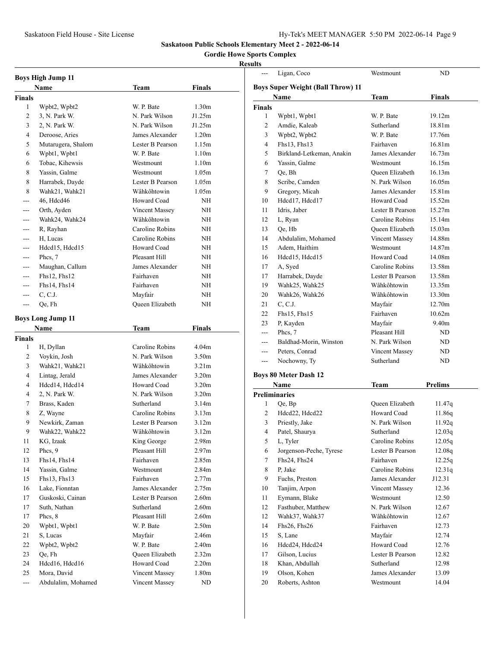# **Gordie Howe Sports Complex**

| <b>Boys High Jump 11</b> |                          |                        |                   |  |
|--------------------------|--------------------------|------------------------|-------------------|--|
|                          | Name                     | Team                   | Finals            |  |
| <b>Finals</b>            |                          |                        |                   |  |
| 1                        | Wpbt2, Wpbt2             | W. P. Bate             | 1.30 <sub>m</sub> |  |
| $\overline{c}$           | 3, N. Park W.            | N. Park Wilson         | J1.25m            |  |
| 3                        | 2, N. Park W.            | N. Park Wilson         | J1.25m            |  |
| 4                        | Deroose, Aries           | James Alexander        | 1.20 <sub>m</sub> |  |
| 5                        | Mutarugera, Shalom       | Lester B Pearson       | 1.15m             |  |
| 6                        | Wpbt1, Wpbt1             | W. P. Bate             | 1.10 <sub>m</sub> |  |
| 6                        | Tobac, Kihewsis          | Westmount              | 1.10 <sub>m</sub> |  |
| 8                        | Yassin, Galme            | Westmount              | 1.05m             |  |
| 8                        | Harrabek, Dayde          | Lester B Pearson       | 1.05m             |  |
| 8                        | Wahk21, Wahk21           | Wâhkôhtowin            | 1.05m             |  |
|                          | 46, Hdcd46               | Howard Coad            | NH                |  |
|                          | Orth, Ayden              | <b>Vincent Massey</b>  | NΗ                |  |
| ---                      | Wahk24, Wahk24           | Wâhkôhtowin            | NH                |  |
| ---                      | R, Rayhan                | Caroline Robins        | NH                |  |
| $---$                    | H, Lucas                 | Caroline Robins        | NH                |  |
| ---                      | Hdcd15, Hdcd15           | Howard Coad            | NH                |  |
| ---                      | Phcs, 7                  | Pleasant Hill          | NΗ                |  |
| ---                      | Maughan, Callum          | James Alexander        | NH                |  |
| $---$                    | Fhs12, Fhs12             | Fairhaven              | NH                |  |
| ---                      | Fhs14, Fhs14             | Fairhaven              | NΗ                |  |
| $\frac{1}{2}$            | C, C.J.                  | Mayfair                | NΗ                |  |
| $---$                    | Qe, Fh                   | <b>Oueen Elizabeth</b> | NΗ                |  |
|                          |                          |                        |                   |  |
|                          | <b>Boys Long Jump 11</b> |                        |                   |  |
|                          | Name                     | <b>Team</b>            | <b>Finals</b>     |  |
| <b>Finals</b>            |                          |                        |                   |  |
| 1                        | H, Dyllan                | Caroline Robins        | 4.04 <sub>m</sub> |  |
| 2                        | Voykin, Josh             | N. Park Wilson         | 3.50 <sub>m</sub> |  |
| 3                        | Wahk21, Wahk21           | Wâhkôhtowin            | 3.21 <sub>m</sub> |  |
| 4                        | Lintag, Jerald           | James Alexander        | 3.20 <sub>m</sub> |  |
| 4                        | Hdcd14, Hdcd14           | Howard Coad            | 3.20 <sub>m</sub> |  |
| 4                        | 2, N. Park W.            | N. Park Wilson         | 3.20 <sub>m</sub> |  |
| 7                        | Brass, Kaden             | Sutherland             | 3.14m             |  |
| 8                        | Z, Wayne                 | Caroline Robins        | 3.13 <sub>m</sub> |  |
| 9                        | Newkirk, Zaman           | Lester B Pearson       | 3.12m             |  |
| 9                        | Wahk22, Wahk22           | Wâhkôhtowin            | 3.12m             |  |
| 11                       | KG, Izaak                | King George            | 2.98m             |  |
| 12                       | Phcs, 9                  | Pleasant Hill          | 2.97 <sub>m</sub> |  |
| 13                       | Fhs14, Fhs14             | Fairhaven              | 2.85m             |  |
| 14                       | Yassin, Galme            | Westmount              | 2.84m             |  |
| 15                       | Fhs13, Fhs13             | Fairhaven              | 2.77m             |  |
| 16                       | Lake, Fionntan           | James Alexander        | 2.75m             |  |
| 17                       | Guskoski, Cainan         | Lester B Pearson       | 2.60 <sub>m</sub> |  |
| 17                       | Suth, Nathan             | Sutherland             | 2.60 <sub>m</sub> |  |
| 17                       | Phcs, 8                  | Pleasant Hill          | 2.60 <sub>m</sub> |  |
| 20                       | Wpbt1, Wpbt1             | W. P. Bate             | 2.50 <sub>m</sub> |  |
| 21                       | S, Lucas                 | Mayfair                | 2.46m             |  |
| 22                       | Wpbt2, Wpbt2             | W. P. Bate             | 2.40 <sub>m</sub> |  |
| 23                       | Oe, Fh                   | Queen Elizabeth        | 2.32m             |  |
| 24                       | Hdcd16, Hdcd16           | Howard Coad            | 2.20 <sub>m</sub> |  |
| 25                       | Mora, David              | Vincent Massey         | 1.80 <sub>m</sub> |  |
| $\overline{a}$           | Abdulalim, Mohamed       | Vincent Massey         | ND                |  |

| ---            | Ligan, Coco                              | Westmount              | ND                 |
|----------------|------------------------------------------|------------------------|--------------------|
|                | <b>Boys Super Weight (Ball Throw) 11</b> |                        |                    |
|                | Name                                     | Team                   | <b>Finals</b>      |
| <b>Finals</b>  |                                          |                        |                    |
| $\mathbf{1}$   | Wpbt1, Wpbt1                             | W. P. Bate             | 19.12m             |
| $\overline{c}$ | Amdie, Kaleab                            | Sutherland             | 18.81m             |
| 3              | Wpbt2, Wpbt2                             | W. P. Bate             | 17.76m             |
| 4              | Fhs13, Fhs13                             | Fairhaven              | 16.81m             |
| 5              | Birkland-Letkeman, Anakin                | James Alexander        | 16.73m             |
| 6              | Yassin, Galme                            | Westmount              | 16.15m             |
| 7              | Qe, Bh                                   | <b>Oueen Elizabeth</b> | 16.13m             |
| 8              | Scribe, Camden                           | N. Park Wilson         | 16.05m             |
| 9              | Gregory, Micah                           | James Alexander        | 15.81m             |
| 10             | Hdcd17, Hdcd17                           | Howard Coad            | 15.52m             |
| 11             | Idris, Jaber                             | Lester B Pearson       | 15.27m             |
| 12             | L, Ryan                                  | Caroline Robins        | 15.14m             |
| 13             | Qe, Hb                                   | Queen Elizabeth        | 15.03m             |
| 14             | Abdulalim, Mohamed                       | Vincent Massey         | 14.88m             |
| 15             | Adem. Haithim                            | Westmount              | 14.87m             |
| 16             | Hdcd15, Hdcd15                           | Howard Coad            | 14.08 <sub>m</sub> |
| 17             | A, Syed                                  | Caroline Robins        | 13.58m             |
| 17             | Harrabek, Dayde                          | Lester B Pearson       | 13.58m             |
| 19             | Wahk25, Wahk25                           | Wâhkôhtowin            | 13.35m             |
| 20             | Wahk26, Wahk26                           | Wâhkôhtowin            | 13.30m             |
| 21             | C, C.J.                                  | Mayfair                | 12.70m             |
| 22             | Fhs15, Fhs15                             | Fairhaven              | 10.62m             |
| 23             | P, Kayden                                | Mayfair                | 9.40 <sub>m</sub>  |
| ---            | Phcs, 7                                  | Pleasant Hill          | ND.                |
| ---            | Baldhad-Morin, Winston                   | N. Park Wilson         | ND                 |
| ---            | Peters, Conrad                           | Vincent Massey         | ND                 |
| ---            | Nochowny, Ty                             | Sutherland             | ND                 |
|                | <b>Boys 80 Meter Dash 12</b>             |                        |                    |
|                | Name                                     | <b>Team</b>            | <b>Prelims</b>     |
|                | <b>Preliminaries</b>                     |                        |                    |
| 1              | Qe, Bp                                   | Queen Elizabeth        | 11.47q             |
| 2              | Hdcd22, Hdcd22                           | Howard Coad            | 11.86q             |
| 3              | Priestly, Jake                           | N. Park Wilson         | 11.92q             |
|                |                                          |                        |                    |

| 3              | Priestly, Jake          | N. Park Wilson   | 11.92q |  |
|----------------|-------------------------|------------------|--------|--|
| $\overline{4}$ | Patel, Shaurya          | Sutherland       | 12.03q |  |
| 5              | L, Tyler                | Caroline Robins  | 12.05q |  |
| 6              | Jorgenson-Peche, Tyrese | Lester B Pearson | 12.08q |  |
| 7              | Fhs24, Fhs24            | Fairhaven        | 12.25q |  |
| 8              | P, Jake                 | Caroline Robins  | 12.31q |  |
| 9              | Fuchs, Preston          | James Alexander  | J12.31 |  |
| 10             | Tanjim, Arpon           | Vincent Massey   | 12.36  |  |
| 11             | Eymann, Blake           | Westmount        | 12.50  |  |
| 12             | Fasthuber, Matthew      | N. Park Wilson   | 12.67  |  |
| 12             | Wahk37, Wahk37          | Wâhkôhtowin      | 12.67  |  |
| 14             | $Fhs26$ , $Fhs26$       | Fairhaven        | 12.73  |  |
| 15             | S, Lane                 | Mayfair          | 12.74  |  |
| 16             | Hdcd24, Hdcd24          | Howard Coad      | 12.76  |  |
| 17             | Gilson, Lucius          | Lester B Pearson | 12.82  |  |
| 18             | Khan, Abdullah          | Sutherland       | 12.98  |  |
| 19             | Olson, Kohen            | James Alexander  | 13.09  |  |
| 20             | Roberts, Ashton         | Westmount        | 14.04  |  |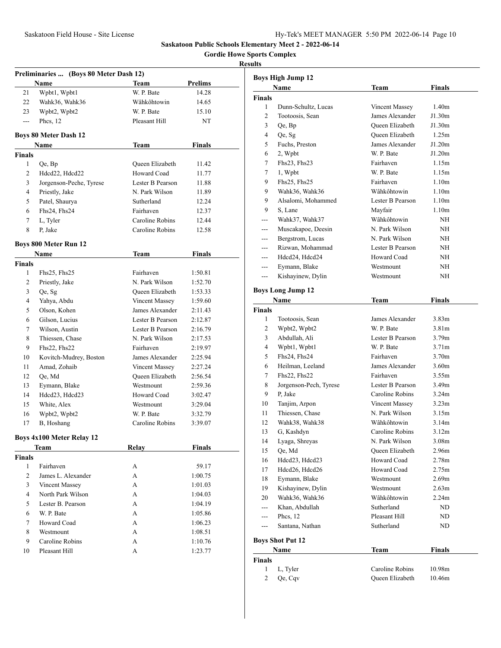**Gordie Howe Sports Complex**

| Preliminaries  (Boys 80 Meter Dash 12) |                                  |                        |                |  |  |
|----------------------------------------|----------------------------------|------------------------|----------------|--|--|
|                                        | <b>Name</b>                      | Team                   | <b>Prelims</b> |  |  |
| 21                                     | Wpbt1, Wpbt1                     | W. P. Bate             | 14.28          |  |  |
| 22                                     | Wahk36, Wahk36                   | Wâhkôhtowin            | 14.65          |  |  |
| 23                                     | Wpbt2, Wpbt2                     | W. P. Bate             | 15.10          |  |  |
| ---                                    | Phcs, 12                         | Pleasant Hill          | NT             |  |  |
|                                        | <b>Boys 80 Meter Dash 12</b>     |                        |                |  |  |
|                                        | Name                             | Team                   | <b>Finals</b>  |  |  |
| <b>Finals</b>                          |                                  |                        |                |  |  |
| 1                                      | Qe, Bp                           | Queen Elizabeth        | 11.42          |  |  |
| $\overline{2}$                         | Hdcd22, Hdcd22                   | Howard Coad            | 11.77          |  |  |
| 3                                      | Jorgenson-Peche, Tyrese          | Lester B Pearson       | 11.88          |  |  |
| $\overline{4}$                         | Priestly, Jake                   | N. Park Wilson         | 11.89          |  |  |
| 5                                      | Patel, Shaurya                   | Sutherland             | 12.24          |  |  |
| 6                                      | Fhs24, Fhs24                     | Fairhaven              | 12.37          |  |  |
| 7                                      | L, Tyler                         | Caroline Robins        | 12.44          |  |  |
| 8                                      | P. Jake                          | Caroline Robins        | 12.58          |  |  |
|                                        | <b>Boys 800 Meter Run 12</b>     |                        |                |  |  |
|                                        | <b>Name</b>                      | Team                   | <b>Finals</b>  |  |  |
| <b>Finals</b>                          |                                  |                        |                |  |  |
| 1                                      | $Fhs25$ , $Fhs25$                | Fairhaven              | 1:50.81        |  |  |
| 2                                      | Priestly, Jake                   | N. Park Wilson         | 1:52.70        |  |  |
| 3                                      | Qe, Sg                           | Queen Elizabeth        | 1:53.33        |  |  |
| 4                                      | Yahya, Abdu                      | Vincent Massey         | 1:59.60        |  |  |
| 5                                      | Olson, Kohen                     | James Alexander        | 2:11.43        |  |  |
| 6                                      | Gilson, Lucius                   | Lester B Pearson       | 2:12.87        |  |  |
| 7                                      | Wilson, Austin                   | Lester B Pearson       | 2:16.79        |  |  |
| 8                                      | Thiessen, Chase                  | N. Park Wilson         | 2:17.53        |  |  |
| 9                                      | Fhs22, Fhs22                     | Fairhaven              | 2:19.97        |  |  |
| 10                                     | Kovitch-Mudrey, Boston           | James Alexander        | 2:25.94        |  |  |
| 11                                     | Amad, Zohaib                     | Vincent Massey         | 2:27.24        |  |  |
| 12                                     | Qe, Md                           | <b>Oueen Elizabeth</b> | 2:56.54        |  |  |
| 13                                     | Eymann, Blake                    | Westmount              | 2:59.36        |  |  |
| 14                                     | Hdcd23, Hdcd23                   | Howard Coad            | 3:02.47        |  |  |
| 15                                     | White, Alex                      | Westmount              | 3:29.04        |  |  |
| 16                                     | Wpbt2, Wpbt2                     | W. P. Bate             | 3:32.79        |  |  |
| 17                                     | B, Hoshang                       | Caroline Robins        | 3:39.07        |  |  |
|                                        |                                  |                        |                |  |  |
|                                        | <b>Boys 4x100 Meter Relay 12</b> |                        |                |  |  |
|                                        | Team                             | Relay                  | <b>Finals</b>  |  |  |
| <b>Finals</b>                          |                                  |                        |                |  |  |
| 1                                      | Fairhaven                        | А                      | 59.17          |  |  |
| $\overline{2}$                         | James L. Alexander               | А                      | 1:00.75        |  |  |
| 3                                      | Vincent Massey                   | A                      | 1:01.03        |  |  |
| $\overline{4}$                         | North Park Wilson                | A                      | 1:04.03        |  |  |
| 5                                      | Lester B. Pearson                | А                      | 1:04.19        |  |  |
| 6                                      | W. P. Bate                       | A                      | 1:05.86        |  |  |
| 7                                      | Howard Coad                      | А                      | 1:06.23        |  |  |
| 8                                      | Westmount                        | А                      | 1:08.51        |  |  |
| 9                                      | Caroline Robins                  | А                      | 1:10.76        |  |  |
| 10                                     | Pleasant Hill                    | А                      | 1:23.77        |  |  |

|                | <b>Boys High Jump 12</b> |                  |                   |
|----------------|--------------------------|------------------|-------------------|
|                | Name                     | Team             | <b>Finals</b>     |
| <b>Finals</b>  |                          |                  |                   |
| 1              | Dunn-Schultz, Lucas      | Vincent Massey   | 1.40 <sub>m</sub> |
| 2              | Tootoosis, Sean          | James Alexander  | J1.30m            |
| 3              | Qe, Bp                   | Queen Elizabeth  | J1.30m            |
| 4              | Qe, Sg                   | Queen Elizabeth  | 1.25m             |
| 5              | Fuchs, Preston           | James Alexander  | J1.20m            |
| 6              | 2, Wpbt                  | W. P. Bate       | J1.20m            |
| 7              | $Fhs23$ , $Fhs23$        | Fairhaven        | 1.15m             |
| 7              | 1, Wpbt                  | W. P. Bate       | 1.15m             |
| 9              | Fhs25, Fhs25             | Fairhaven        | 1.10 <sub>m</sub> |
| 9              | Wahk36, Wahk36           | Wâhkôhtowin      | 1.10 <sub>m</sub> |
| 9              | Alsalomi, Mohammed       | Lester B Pearson | 1.10 <sub>m</sub> |
| 9              | S, Lane                  | Mayfair          | 1.10m             |
|                | Wahk37, Wahk37           | Wâhkôhtowin      | NH                |
| ---            | Muscakapoe, Deesin       | N. Park Wilson   | NH                |
| ---            | Bergstrom, Lucas         | N. Park Wilson   | NΗ                |
| ---            | Rizwan, Mohammad         | Lester B Pearson | NΗ                |
| ---            | Hdcd24, Hdcd24           | Howard Coad      | NH                |
| ---            | Eymann, Blake            | Westmount        | NΗ                |
| ---            | Kishayinew, Dylin        | Westmount        | NΗ                |
|                |                          |                  |                   |
|                | <b>Boys Long Jump 12</b> |                  |                   |
|                | Name                     | Team             | Finals            |
| <b>Finals</b>  |                          |                  |                   |
| 1              | Tootoosis, Sean          | James Alexander  | 3.83 <sub>m</sub> |
| 2              | Wpbt2, Wpbt2             | W. P. Bate       | 3.81 <sub>m</sub> |
| 3              | Abdullah, Ali            | Lester B Pearson | 3.79 <sub>m</sub> |
| 4              | Wpbt1, Wpbt1             | W. P. Bate       | 3.71 <sub>m</sub> |
| 5              | Fhs24, Fhs24             | Fairhaven        | 3.70 <sub>m</sub> |
| 6              | Heilman, Leeland         | James Alexander  | 3.60 <sub>m</sub> |
| 7              | $Fhs22$ , $Fhs22$        | Fairhaven        | 3.55m             |
| 8              | Jorgenson-Pech, Tyrese   | Lester B Pearson | 3.49 <sub>m</sub> |
| 9              | P, Jake                  | Caroline Robins  | 3.24 <sub>m</sub> |
| 10             | Tanjim, Arpon            | Vincent Massey   | 3.23 <sub>m</sub> |
| 11             | Thiessen, Chase          | N. Park Wilson   | 3.15m             |
| 12             | Wahk38, Wahk38           | Wâhkôhtowin      | 3.14m             |
| 13             | G, Kashdyn               | Caroline Robins  | 3.12m             |
| 14             | Lyaga, Shreyas           | N. Park Wilson   | 3.08 <sub>m</sub> |
| 15             | Qe, Md                   | Queen Elizabeth  | 2.96m             |
| 16             | Hdcd23, Hdcd23           | Howard Coad      | 2.78m             |
| 17             | Hdcd26, Hdcd26           | Howard Coad      | 2.75m             |
| 18             | Eymann, Blake            | Westmount        | 2.69 <sub>m</sub> |
| 19             | Kishayinew, Dylin        | Westmount        | 2.63 <sub>m</sub> |
| 20             | Wahk36, Wahk36           | Wâhkôhtowin      | 2.24 <sub>m</sub> |
| ---            | Khan, Abdullah           | Sutherland       | ND                |
| ---            | Phcs, 12                 | Pleasant Hill    | ND                |
| ---            | Santana, Nathan          | Sutherland       | ND                |
|                |                          |                  |                   |
|                | <b>Boys Shot Put 12</b>  |                  |                   |
|                | Name                     | <b>Team</b>      | <b>Finals</b>     |
| <b>Finals</b>  |                          |                  |                   |
| $\mathbf{1}$   | L, Tyler                 | Caroline Robins  | 10.98m            |
| $\overline{c}$ | Qe, Cqv                  | Queen Elizabeth  | 10.46m            |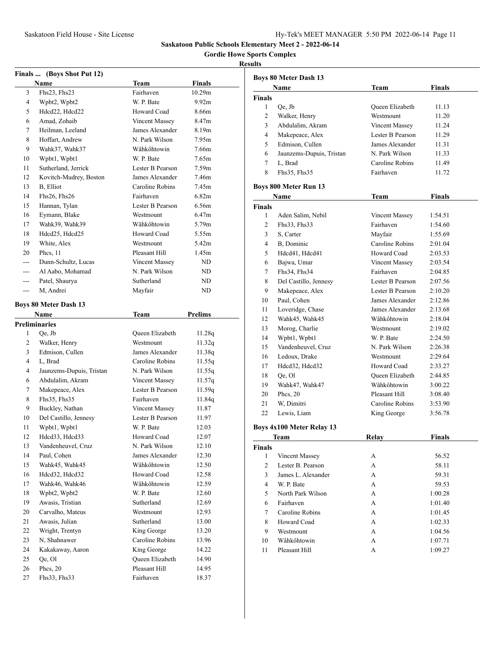**Gordie Howe Sports Complex**

|         | Finals  (Boys Shot Put 12)   |                       |                   |
|---------|------------------------------|-----------------------|-------------------|
|         | <b>Name</b>                  | <b>Team</b>           | <b>Finals</b>     |
| 3       | $Fhs23$ , $Fhs23$            | Fairhaven             | 10.29m            |
| 4       | Wpbt2, Wpbt2                 | W. P. Bate            | 9.92 <sub>m</sub> |
| 5       | Hdcd22, Hdcd22               | Howard Coad           | 8.66m             |
| 6       | Amad, Zohaib                 | <b>Vincent Massey</b> | 8.47 <sub>m</sub> |
| 7       | Heilman, Leeland             | James Alexander       | 8.19m             |
| 8       | Hoffart, Andrew              | N. Park Wilson        | 7.95m             |
| 9       | Wahk37, Wahk37               | Wâhkôhtowin           | 7.66m             |
| 10      | Wpbt1, Wpbt1                 | W. P. Bate            | 7.65m             |
| 11      | Sutherland, Jerrick          | Lester B Pearson      | 7.59 <sub>m</sub> |
| 12      | Kovitch-Mudrey, Boston       | James Alexander       | 7.46m             |
| 13      | B, Elliot                    | Caroline Robins       | 7.45m             |
| 14      | Fhs26, Fhs26                 | Fairhaven             | 6.82m             |
| 15      | Hannan, Tylan                | Lester B Pearson      | 6.56m             |
| 16      | Eymann, Blake                | Westmount             | 6.47m             |
| 17      | Wahk39, Wahk39               | Wâhkôhtowin           | 5.79m             |
| 18      | Hdcd25, Hdcd25               | Howard Coad           | 5.55m             |
| 19      | White, Alex                  | Westmount             | 5.42m             |
| 20      | Phcs, 11                     | Pleasant Hill         | 1.45m             |
| $- - -$ | Dunn-Schultz, Lucas          | <b>Vincent Massey</b> | ND                |
| $---$   | Al Aabo, Mohamad             | N. Park Wilson        | ND                |
| $---$   | Patel, Shaurya               | Sutherland            | ND                |
| $---$   | M, Andrei                    | Mayfair               | ND                |
|         | <b>Boys 80 Meter Dash 13</b> |                       |                   |
|         | Name                         | Team                  | Prelims           |
|         | <b>Preliminaries</b>         |                       |                   |
| 1       | Qe, Jb                       | Queen Elizabeth       | 11.28q            |
| 2       | Walker, Henry                | Westmount             | 11.32q            |
| 3       | Edmison, Cullen              | James Alexander       | 11.38q            |
| 4       | L, Brad                      | Caroline Robins       | 11.55q            |
| 4       | Jaunzems-Dupuis, Tristan     | N. Park Wilson        | 11.55q            |
| 6       | Abdulalim, Akram             | Vincent Massey        | 11.57q            |
| 7       | Makepeace, Alex              | Lester B Pearson      | 11.59q            |
| 8       | Fhs35, Fhs35                 | Fairhaven             | 11.84q            |
| 9       | Buckley, Nathan              | Vincent Massey        | 11.87             |
| 10      | Del Castillo, Jennesy        | Lester B Pearson      | 11.97             |
| 11      | Wpbt1, Wpbt1                 | W. P. Bate            | 12.03             |
| 12      | Hdcd33, Hdcd33               | Howard Coad           | 12.07             |
| 13      | Vandenheuvel, Cruz           | N. Park Wilson        | 12.10             |
| 14      | Paul, Cohen                  | James Alexander       | 12.30             |
| 15      | Wahk45, Wahk45               | Wâhkôhtowin           | 12.50             |
| 16      | Hdcd32, Hdcd32               | Howard Coad           | 12.58             |
| 17      | Wahk46, Wahk46               | Wâhkôhtowin           | 12.59             |
| 18      | Wpbt2, Wpbt2                 | W. P. Bate            | 12.60             |
| 19      | Awasis, Tristian             | Sutherland            | 12.69             |
| 20      | Carvalho, Mateus             | Westmount             | 12.93             |
| 21      | Awasis, Julian               | Sutherland            | 13.00             |
| 22      | Wright, Trentyn              | King George           | 13.20             |
| 23      | N, Shahnawer                 | Caroline Robins       | 13.96             |
| 24      | Kakakaway, Aaron             | King George           | 14.22             |
| 25      | Qe, Ol                       | Queen Elizabeth       | 14.90             |
| 26      | Phcs, 20                     | Pleasant Hill         | 14.95             |
| 27      | Fhs33, Fhs33                 | Fairhaven             | 18.37             |

| <b>Boys 80 Meter Dash 13</b> |                                  |                       |                    |  |  |
|------------------------------|----------------------------------|-----------------------|--------------------|--|--|
|                              | Name                             | Team                  | <b>Finals</b>      |  |  |
| <b>Finals</b>                |                                  |                       |                    |  |  |
| 1                            | Qe, Jb                           | Queen Elizabeth       | 11.13              |  |  |
| 2                            | Walker, Henry                    | Westmount             | 11.20              |  |  |
| 3                            | Abdulalim, Akram                 | <b>Vincent Massey</b> | 11.24              |  |  |
| 4                            | Makepeace, Alex                  | Lester B Pearson      | 11.29              |  |  |
| 5                            | Edmison, Cullen                  | James Alexander       | 11.31              |  |  |
| 6                            | Jaunzems-Dupuis, Tristan         | N. Park Wilson        | 11.33              |  |  |
| 7                            | L, Brad                          | Caroline Robins       | 11.49              |  |  |
| 8                            | Fhs35, Fhs35                     | Fairhaven             | 11.72              |  |  |
|                              | Boys 800 Meter Run 13            |                       |                    |  |  |
|                              | Name                             | Team                  | <b>Finals</b>      |  |  |
| <b>Finals</b>                |                                  |                       |                    |  |  |
| 1                            | Aden Salim, Nebil                | Vincent Massey        | 1:54.51            |  |  |
| 2                            | Fhs33, Fhs33                     | Fairhaven             | 1:54.60            |  |  |
| 3                            | S, Carter                        | Mayfair               | 1:55.69            |  |  |
| 4                            | B, Dominic                       | Caroline Robins       | 2:01.04            |  |  |
| 5                            | Hdcd41, Hdcd41                   | Howard Coad           | 2:03.53            |  |  |
| 6                            | Bajwa, Umar                      | Vincent Massey        | 2:03.54            |  |  |
| 7                            | Fhs34, Fhs34                     | Fairhaven             | 2:04.85            |  |  |
| 8                            | Del Castillo, Jennesy            | Lester B Pearson      | 2:07.56            |  |  |
| 9                            | Makepeace, Alex                  | Lester B Pearson      | 2:10.20            |  |  |
|                              | Paul. Cohen                      | James Alexander       |                    |  |  |
| 10<br>11                     |                                  | James Alexander       | 2:12.86<br>2:13.68 |  |  |
|                              | Loveridge, Chase                 | Wâhkôhtowin           |                    |  |  |
| 12                           | Wahk45, Wahk45                   |                       | 2:18.04            |  |  |
| 13                           | Morog, Charlie                   | Westmount             | 2:19.02            |  |  |
| 14                           | Wpbt1, Wpbt1                     | W. P. Bate            | 2:24.50            |  |  |
| 15                           | Vandenheuvel, Cruz               | N. Park Wilson        | 2:26.38            |  |  |
| 16                           | Ledoux, Drake                    | Westmount             | 2:29.64            |  |  |
| 17                           | Hdcd32, Hdcd32                   | Howard Coad           | 2:33.27            |  |  |
| 18                           | Qe, Ol                           | Queen Elizabeth       | 2:44.85            |  |  |
| 19                           | Wahk47, Wahk47                   | Wâhkôhtowin           | 3:00.22            |  |  |
| 20                           | Phcs, 20                         | Pleasant Hill         | 3:08.40            |  |  |
| 21                           | W. Dimitri                       | Caroline Robins       | 3:53.90            |  |  |
| 22                           | Lewis, Liam                      | King George           | 3:56.78            |  |  |
|                              | <b>Boys 4x100 Meter Relay 13</b> |                       |                    |  |  |
|                              | <b>Team</b>                      | <b>Relay</b>          | <b>Finals</b>      |  |  |
| <b>Finals</b>                |                                  |                       |                    |  |  |
| $\mathbf{1}$                 | Vincent Massey                   | А                     | 56.52              |  |  |
| $\overline{c}$               | Lester B. Pearson                | А                     | 58.11              |  |  |
| 3                            | James L. Alexander               | А                     | 59.31              |  |  |
| $\overline{4}$               | W. P. Bate                       | А                     | 59.53              |  |  |
| 5                            | North Park Wilson                | A                     | 1:00.28            |  |  |
| 6                            | Fairhaven                        | А                     | 1:01.40            |  |  |
| 7                            | Caroline Robins                  | А                     | 1:01.45            |  |  |
| 8                            | Howard Coad                      | A                     | 1:02.33            |  |  |
| 9                            | Westmount                        | А                     | 1:04.56            |  |  |
| 10                           | Wâhkôhtowin                      | А                     | 1:07.71            |  |  |
| 11                           | Pleasant Hill                    | A                     | 1:09.27            |  |  |